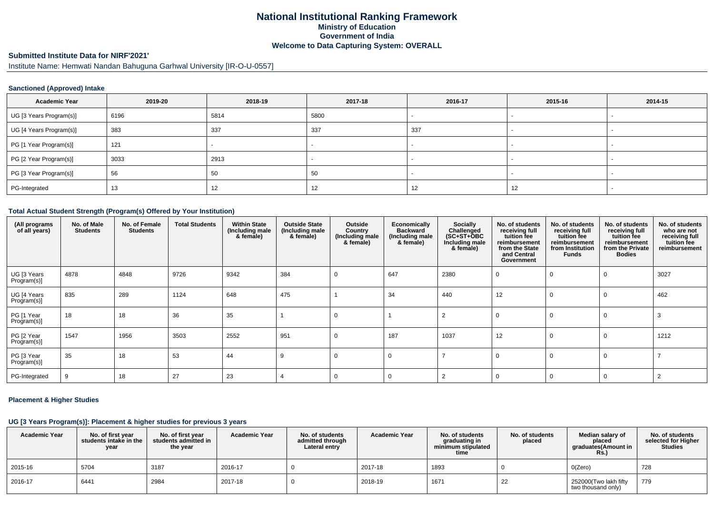# **National Institutional Ranking FrameworkMinistry of Education Government of IndiaWelcome to Data Capturing System: OVERALL**

# **Submitted Institute Data for NIRF'2021'**

Institute Name: Hemwati Nandan Bahuguna Garhwal University [IR-O-U-0557]

### **Sanctioned (Approved) Intake**

| <b>Academic Year</b>    | 2019-20 | 2018-19 | 2017-18 | 2016-17 | 2015-16                  | 2014-15 |
|-------------------------|---------|---------|---------|---------|--------------------------|---------|
| UG [3 Years Program(s)] | 6196    | 5814    | 5800    |         | $\overline{\phantom{0}}$ |         |
| UG [4 Years Program(s)] | 383     | 337     | 337     | 337     |                          |         |
| PG [1 Year Program(s)]  | 121     |         |         |         |                          |         |
| PG [2 Year Program(s)]  | 3033    | 2913    |         |         |                          |         |
| PG [3 Year Program(s)]  | 56      | 50      | 50      |         |                          |         |
| PG-Integrated           | 13      | 12      | 12      | 12      | 12                       |         |

### **Total Actual Student Strength (Program(s) Offered by Your Institution)**

| (All programs<br>of all years) | No. of Male<br><b>Students</b> | No. of Female<br><b>Students</b> | <b>Total Students</b> | <b>Within State</b><br>(Including male<br>& female) | <b>Outside State</b><br>(Including male<br>& female) | Outside<br>Country<br>(Including male<br>& female) | Economically<br><b>Backward</b><br>(Including male<br>& female) | Socially<br>Challenged<br>(SC+ST+ŎBC<br>Including male<br>& female) | No. of students<br>receiving full<br>tuition fee<br>reimbursement<br>from the State<br>and Central<br>Government | No. of students<br>receiving full<br>tuition fee<br>reimbursement<br>from Institution<br><b>Funds</b> | No. of students<br>receiving full<br>tuition fee<br>reimbursement<br>from the Private<br><b>Bodies</b> | No. of students<br>who are not<br>receiving full<br>tuition fee<br>reimbursement |
|--------------------------------|--------------------------------|----------------------------------|-----------------------|-----------------------------------------------------|------------------------------------------------------|----------------------------------------------------|-----------------------------------------------------------------|---------------------------------------------------------------------|------------------------------------------------------------------------------------------------------------------|-------------------------------------------------------------------------------------------------------|--------------------------------------------------------------------------------------------------------|----------------------------------------------------------------------------------|
| UG [3 Years<br>Program(s)]     | 4878                           | 4848                             | 9726                  | 9342                                                | 384                                                  | 0                                                  | 647                                                             | 2380                                                                | 0                                                                                                                | 0                                                                                                     | 0                                                                                                      | 3027                                                                             |
| UG [4 Years<br>Program(s)]     | 835                            | 289                              | 1124                  | 648                                                 | 475                                                  |                                                    | 34                                                              | 440                                                                 | 12                                                                                                               | $\Omega$                                                                                              | 0                                                                                                      | 462                                                                              |
| PG [1 Year<br>Program(s)]      | 18                             | 18                               | 36                    | 35                                                  |                                                      | 0                                                  |                                                                 | 2                                                                   | $\Omega$                                                                                                         | $\Omega$                                                                                              | $\mathbf 0$                                                                                            | 3                                                                                |
| PG [2 Year<br>Program(s)]      | 1547                           | 1956                             | 3503                  | 2552                                                | 951                                                  | 0                                                  | 187                                                             | 1037                                                                | 12                                                                                                               | 0                                                                                                     | 0                                                                                                      | 1212                                                                             |
| PG [3 Year<br>Program(s)]      | 35                             | 18                               | 53                    | 44                                                  | 9                                                    | 0                                                  | C                                                               |                                                                     | 0                                                                                                                | 0                                                                                                     | 0                                                                                                      |                                                                                  |
| PG-Integrated                  | -9                             | 18                               | 27                    | 23                                                  |                                                      | 0                                                  | ſ                                                               |                                                                     | $\Omega$                                                                                                         | $\Omega$                                                                                              | 0                                                                                                      |                                                                                  |

### **Placement & Higher Studies**

#### **UG [3 Years Program(s)]: Placement & higher studies for previous 3 years**

| <b>Academic Year</b> | No. of first year<br>students intake in the<br>year | No. of first year<br>students admitted in<br>the year | <b>Academic Year</b> | No. of students<br>admitted through<br>Lateral entry | <b>Academic Year</b> | No. of students<br>graduating in<br>minimum stipulated<br>time | No. of students<br>placed | Median salary of<br>placed<br>graduates(Amount in<br><b>Rs.)</b> | No. of students<br>selected for Higher<br><b>Studies</b> |
|----------------------|-----------------------------------------------------|-------------------------------------------------------|----------------------|------------------------------------------------------|----------------------|----------------------------------------------------------------|---------------------------|------------------------------------------------------------------|----------------------------------------------------------|
| 2015-16              | 5704                                                | 3187                                                  | 2016-17              |                                                      | 2017-18              | 1893                                                           |                           | O(Zero)                                                          | 728                                                      |
| 2016-17              | 6441                                                | 2984                                                  | 2017-18              |                                                      | 2018-19              | 1671                                                           | 22                        | 252000(Two lakh fifty<br>two thousand only)                      | 779                                                      |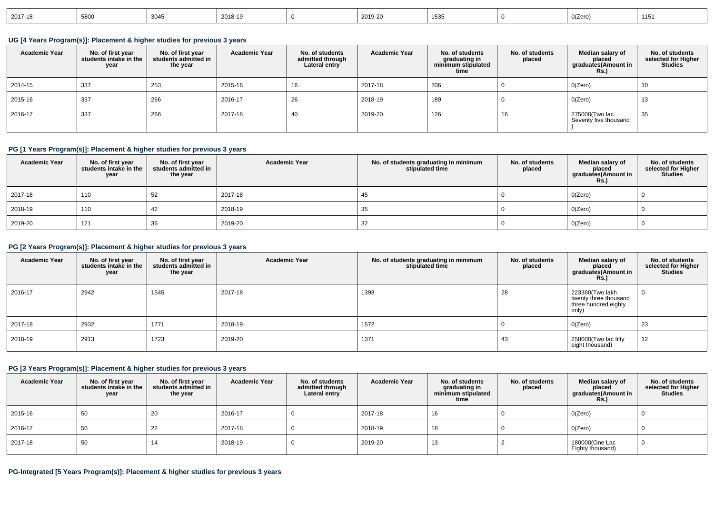| 2018-19<br>0(Zero)<br>$\overline{10}$<br>$\sim$ $\sim$<br>5800<br>2019-20<br>$ 2017-18$<br>ျခဲ့သ<br>-31.171<br>~~<br>ے ب |  |
|--------------------------------------------------------------------------------------------------------------------------|--|
|--------------------------------------------------------------------------------------------------------------------------|--|

# **UG [4 Years Program(s)]: Placement & higher studies for previous 3 years**

| <b>Academic Year</b> | No. of first year<br>students intake in the<br>year | No. of first vear<br>students admitted in<br>the year | <b>Academic Year</b> | No. of students<br>admitted through<br>Lateral entry | <b>Academic Year</b> | No. of students<br>graduating in<br>minimum stipulated<br>time | No. of students<br>placed | Median salary of<br>placed<br>graduates(Amount in<br><b>Rs.)</b> | No. of students<br>selected for Higher<br><b>Studies</b> |
|----------------------|-----------------------------------------------------|-------------------------------------------------------|----------------------|------------------------------------------------------|----------------------|----------------------------------------------------------------|---------------------------|------------------------------------------------------------------|----------------------------------------------------------|
| 2014-15              | 337                                                 | 253                                                   | 2015-16              | 16                                                   | 2017-18              | 206                                                            |                           | O(Zero)                                                          | 10                                                       |
| 2015-16              | 337                                                 | 266                                                   | 2016-17              | 26                                                   | 2018-19              | 189                                                            |                           | O(Zero)                                                          | 13                                                       |
| 2016-17              | 337                                                 | 266                                                   | 2017-18              | 40                                                   | 2019-20              | 126                                                            | 16                        | 275000(Two lac<br>Seventy five thousand                          | 35                                                       |

# **PG [1 Years Program(s)]: Placement & higher studies for previous 3 years**

| <b>Academic Year</b> | No. of first year<br>students intake in the<br>year | No. of first year<br>students admitted in<br>the year | <b>Academic Year</b> | No. of students graduating in minimum<br>stipulated time | No. of students<br>placed | Median salary of<br>placed<br>graduates(Amount in<br>Rs.) | No. of students<br>selected for Higher<br><b>Studies</b> |
|----------------------|-----------------------------------------------------|-------------------------------------------------------|----------------------|----------------------------------------------------------|---------------------------|-----------------------------------------------------------|----------------------------------------------------------|
| 2017-18              | 110                                                 | 52                                                    | 2017-18              | 45                                                       |                           | O(Zero)                                                   |                                                          |
| 2018-19              | 110                                                 | 42                                                    | 2018-19              | 35                                                       |                           | O(Zero)                                                   |                                                          |
| 2019-20              | 121                                                 | 36                                                    | 2019-20              | 32                                                       |                           | O(Zero)                                                   |                                                          |

# **PG [2 Years Program(s)]: Placement & higher studies for previous 3 years**

| <b>Academic Year</b> | No. of first year<br>students intake in the<br>year | No. of first year<br>students admitted in<br>the year | <b>Academic Year</b> | No. of students graduating in minimum<br>stipulated time | No. of students<br>placed | Median salary of<br>placed<br>graduates(Amount in<br><b>Rs.)</b>          | No. of students<br>selected for Higher<br><b>Studies</b> |
|----------------------|-----------------------------------------------------|-------------------------------------------------------|----------------------|----------------------------------------------------------|---------------------------|---------------------------------------------------------------------------|----------------------------------------------------------|
| 2016-17              | 2942                                                | 1545                                                  | 2017-18              | 1393                                                     | 28                        | 223380(Two lakh<br>twenty three thousand<br>three hundred eighty<br>only) |                                                          |
| 2017-18              | 2932                                                | 1771                                                  | 2018-19              | 1572                                                     |                           | O(Zero)                                                                   | 23                                                       |
| 2018-19              | 2913                                                | 1723                                                  | 2019-20              | 1371                                                     | 43                        | 258000(Two lac fifty<br>eight thousand)                                   | 12                                                       |

## **PG [3 Years Program(s)]: Placement & higher studies for previous 3 years**

| <b>Academic Year</b> | No. of first year<br>students intake in the<br>year | No. of first year<br>students admitted in<br>the year | <b>Academic Year</b> | No. of students<br>admitted through<br>Lateral entry | <b>Academic Year</b> | No. of students<br>graduating in<br>minimum stipulated<br>time | No. of students<br>placed | Median salary of<br>placed<br>graduates(Amount in<br><b>Rs.)</b> | No. of students<br>selected for Higher<br><b>Studies</b> |
|----------------------|-----------------------------------------------------|-------------------------------------------------------|----------------------|------------------------------------------------------|----------------------|----------------------------------------------------------------|---------------------------|------------------------------------------------------------------|----------------------------------------------------------|
| 2015-16              | 50                                                  | 20                                                    | 2016-17              |                                                      | 2017-18              | 16                                                             |                           | O(Zero)                                                          |                                                          |
| 2016-17              | 50                                                  | 22                                                    | 2017-18              |                                                      | 2018-19              | 18                                                             |                           | O(Zero)                                                          |                                                          |
| 2017-18              | 50                                                  | 14                                                    | 2018-19              |                                                      | 2019-20              | 13                                                             |                           | 180000(One Lac<br>Eighty thousand)                               |                                                          |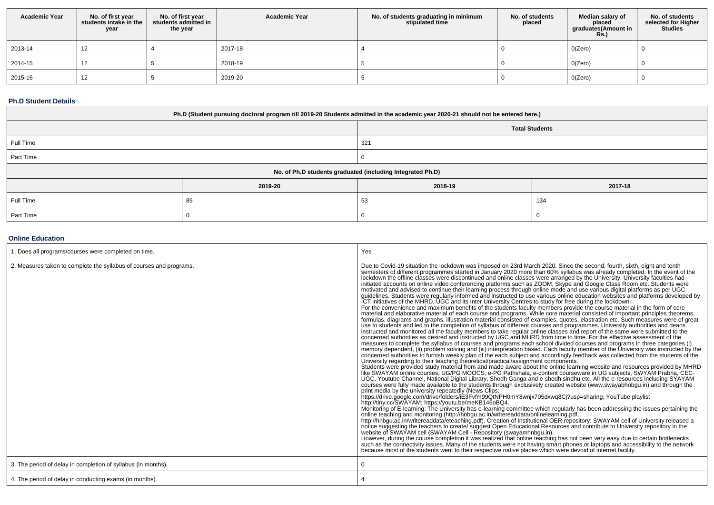| <b>Academic Year</b> | No. of first year<br>students intake in the<br>year | No. of first year<br>students admitted in<br>the year | <b>Academic Year</b> | No. of students graduating in minimum<br>stipulated time | No. of students<br>placed | Median salary of<br>placed<br>graduates (Amount in<br><b>Rs.)</b> | No. of students<br>selected for Higher<br><b>Studies</b> |
|----------------------|-----------------------------------------------------|-------------------------------------------------------|----------------------|----------------------------------------------------------|---------------------------|-------------------------------------------------------------------|----------------------------------------------------------|
| 2013-14              | 12                                                  |                                                       | 2017-18              |                                                          |                           | O(Zero)                                                           |                                                          |
| 2014-15              | ے ا                                                 |                                                       | 2018-19              |                                                          |                           | O(Zero)                                                           |                                                          |
| 2015-16              | 12                                                  |                                                       | 2019-20              |                                                          |                           | O(Zero)                                                           |                                                          |

### **Ph.D Student Details**

| Ph.D (Student pursuing doctoral program till 2019-20 Students admitted in the academic year 2020-21 should not be entered here.) |         |                       |         |  |  |  |  |
|----------------------------------------------------------------------------------------------------------------------------------|---------|-----------------------|---------|--|--|--|--|
|                                                                                                                                  |         | <b>Total Students</b> |         |  |  |  |  |
| Full Time                                                                                                                        |         | 321                   |         |  |  |  |  |
| Part Time                                                                                                                        |         |                       |         |  |  |  |  |
| No. of Ph.D students graduated (including Integrated Ph.D)                                                                       |         |                       |         |  |  |  |  |
|                                                                                                                                  | 2019-20 | 2018-19               | 2017-18 |  |  |  |  |
| Full Time                                                                                                                        | 89      | 53                    | 134     |  |  |  |  |
| Part Time                                                                                                                        |         |                       |         |  |  |  |  |

# **Online Education**

| . Does all programs/courses were completed on time.                 | Yes                                                                                                                                                                                                                                                                                                                                                                                                                                                                                                                                                                                                                                                                                                                                                                                                                                                                                                                                                                                                                                                                                                                                                                                                                                                                                                                                                                                                                                                                                                                                                                                                                                                                                                                                                                                                                                                                                                                                                                                                                                                                                                                                                                                                                                                                                                                                                                                                                                                                                                                                                                                                                                                                                                                                                                                                                                                                                                                                                                                                                                                                                                                                                                                                                                                                                                                                                                                                                                                                                                                                                                                                                                                                                                                                                                                                                                               |
|---------------------------------------------------------------------|---------------------------------------------------------------------------------------------------------------------------------------------------------------------------------------------------------------------------------------------------------------------------------------------------------------------------------------------------------------------------------------------------------------------------------------------------------------------------------------------------------------------------------------------------------------------------------------------------------------------------------------------------------------------------------------------------------------------------------------------------------------------------------------------------------------------------------------------------------------------------------------------------------------------------------------------------------------------------------------------------------------------------------------------------------------------------------------------------------------------------------------------------------------------------------------------------------------------------------------------------------------------------------------------------------------------------------------------------------------------------------------------------------------------------------------------------------------------------------------------------------------------------------------------------------------------------------------------------------------------------------------------------------------------------------------------------------------------------------------------------------------------------------------------------------------------------------------------------------------------------------------------------------------------------------------------------------------------------------------------------------------------------------------------------------------------------------------------------------------------------------------------------------------------------------------------------------------------------------------------------------------------------------------------------------------------------------------------------------------------------------------------------------------------------------------------------------------------------------------------------------------------------------------------------------------------------------------------------------------------------------------------------------------------------------------------------------------------------------------------------------------------------------------------------------------------------------------------------------------------------------------------------------------------------------------------------------------------------------------------------------------------------------------------------------------------------------------------------------------------------------------------------------------------------------------------------------------------------------------------------------------------------------------------------------------------------------------------------------------------------------------------------------------------------------------------------------------------------------------------------------------------------------------------------------------------------------------------------------------------------------------------------------------------------------------------------------------------------------------------------------------------------------------------------------------------------------------------------|
| 2. Measures taken to complete the syllabus of courses and programs. | Due to Covid-19 situation the lockdown was imposed on 23rd March 2020. Since the second, fourth, sixth, eight and tenth<br>semesters of different programmes started in January 2020 more than 60% syllabus was already completed. In the event of the lockdown the offline classes were discontinued and online classes were arranged by the University.<br>initiated accounts on online video conferencing platforms such as ZOOM, Skype and Google Class Room etc. Students were<br>motivated and advised to continue their learning process through online mode and use various digital platforms as per UGC<br>guidelines. Students were regularly informed and instructed to use various online education websites and platforms developed by<br>ICT initiatives of the MHRD, UGC and its Inter University Centres to study for free during the lockdown.<br>For the convenience and maximum benefits of the students faculty members provide the course material in the form of core<br>material and elaborative material of each course and programs. While core material consisted of important principles theorems,<br>formulas, diagrams and graphs, illustration material consisted of examples, quotes, elastration etc. Such measures were of great<br>use to students and led to the completion of syllabus of different courses and programmes. University authorities and deans<br>instructed and monitored all the faculty members to take regular online classes and report of the same were submitted to the<br>concerned authorities as desired and instructed by UGC and MHRD from time to time. For the effective assessment of the<br>measures to complete the syllabus of courses and programs each school divided courses and programs in three categories (i)<br>memory dependent, (ii) problem solving and (iii) interpretation based. Each faculty member of the University was instructed by the<br>concerned authorities to furnish weekly plan of the each subject and accordingly feedback was collected from the students of the<br>University regarding to their teaching theoretical/practical/assignment components.<br>Students were provided study material from and made aware about the online learning website and resources provided by MHRD<br>like SWAYAM online courses, UG/PG MOOCS, e-PG Pathshala, e-content courseware in UG subjects, SWYAM Prabha, CEC-<br>UGC, Youtube Channel, National Digital Library, Shodh Ganga and e-shodh sindhu etc. All the e-resources including SYAYAM<br>courses were fully made available to the students through exclusively created website (www.swayabhnbgu.in) and through the<br>print media by the university repeatedly (News Clips:<br>https://drive.google.com/drive/folders/iE3Fvfm99QtNPH0mY8wnjx705dxwq8Cj?usp=sharing; YouTube playlist<br>http://tiny.cc/SWAYAM; https://youtu.be/meKB146oBQ4.<br>Monitoring of E-learning: The University has e-learning committee which regularly has been addressing the issues pertaining the<br>online teaching and monitoring (http://hnbgu.ac.in/writereaddata/onlinelearning.pdf<br>http://hnbgu.ac.in/writereaddata/eteaching.pdf). Creation of Institutional OER repository: SWAYAM cell of University released a<br>notice suggesting the teachers to create/suggest Open Educational Resources and contribute to University repository in the<br>website of SWAYAM cell (SWAYAM Cell - Repository (swayamhnbgu.in).<br>However, during the course completion it was realized that online teaching has not been very easy due to certain bottlenecks<br>such as the connectivity issues. Many of the students were not having smart phones or laptops and accessibility to the network<br>because most of the students went to their respective native places which were devoid of internet facility. |
| 3. The period of delay in completion of syllabus (in months).       |                                                                                                                                                                                                                                                                                                                                                                                                                                                                                                                                                                                                                                                                                                                                                                                                                                                                                                                                                                                                                                                                                                                                                                                                                                                                                                                                                                                                                                                                                                                                                                                                                                                                                                                                                                                                                                                                                                                                                                                                                                                                                                                                                                                                                                                                                                                                                                                                                                                                                                                                                                                                                                                                                                                                                                                                                                                                                                                                                                                                                                                                                                                                                                                                                                                                                                                                                                                                                                                                                                                                                                                                                                                                                                                                                                                                                                                   |
| 4. The period of delay in conducting exams (in months).             |                                                                                                                                                                                                                                                                                                                                                                                                                                                                                                                                                                                                                                                                                                                                                                                                                                                                                                                                                                                                                                                                                                                                                                                                                                                                                                                                                                                                                                                                                                                                                                                                                                                                                                                                                                                                                                                                                                                                                                                                                                                                                                                                                                                                                                                                                                                                                                                                                                                                                                                                                                                                                                                                                                                                                                                                                                                                                                                                                                                                                                                                                                                                                                                                                                                                                                                                                                                                                                                                                                                                                                                                                                                                                                                                                                                                                                                   |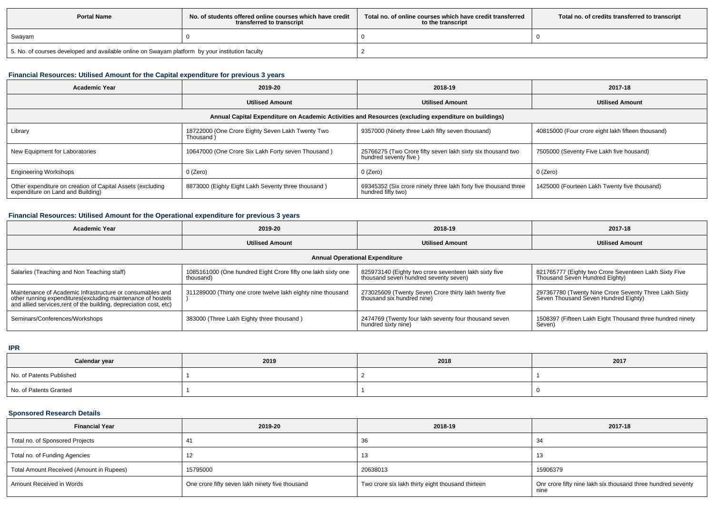| <b>Portal Name</b>                                                                              | No, of students offered online courses which have credit<br>transferred to transcript | Total no. of online courses which have credit transferred<br>to the transcript | Total no. of credits transferred to transcript |  |  |
|-------------------------------------------------------------------------------------------------|---------------------------------------------------------------------------------------|--------------------------------------------------------------------------------|------------------------------------------------|--|--|
| Swayam                                                                                          |                                                                                       |                                                                                |                                                |  |  |
| 5. No. of courses developed and available online on Swayam platform by your institution faculty |                                                                                       |                                                                                |                                                |  |  |

# **Financial Resources: Utilised Amount for the Capital expenditure for previous 3 years**

| Academic Year                                                                                        | 2019-20                                                       | 2018-19                                                                               | 2017-18                                           |  |  |  |  |  |  |  |
|------------------------------------------------------------------------------------------------------|---------------------------------------------------------------|---------------------------------------------------------------------------------------|---------------------------------------------------|--|--|--|--|--|--|--|
|                                                                                                      | <b>Utilised Amount</b>                                        | <b>Utilised Amount</b>                                                                | <b>Utilised Amount</b>                            |  |  |  |  |  |  |  |
| Annual Capital Expenditure on Academic Activities and Resources (excluding expenditure on buildings) |                                                               |                                                                                       |                                                   |  |  |  |  |  |  |  |
| Library                                                                                              | 18722000 (One Crore Eighty Seven Lakh Twenty Two<br>Thousand) | 9357000 (Ninety three Lakh fifty seven thousand)                                      | 40815000 (Four crore eight lakh fifteen thousand) |  |  |  |  |  |  |  |
| New Equipment for Laboratories                                                                       | 10647000 (One Crore Six Lakh Forty seven Thousand)            | 25766275 (Two Crore fifty seven lakh sixty six thousand two<br>hundred seventy five)  | 7505000 (Seventy Five Lakh five housand)          |  |  |  |  |  |  |  |
| <b>Engineering Workshops</b>                                                                         | $0$ (Zero)                                                    | 0 (Zero)                                                                              | 0 (Zero)                                          |  |  |  |  |  |  |  |
| Other expenditure on creation of Capital Assets (excluding<br>expenditure on Land and Building)      | 8873000 (Eighty Eight Lakh Seventy three thousand)            | 69345352 (Six crore ninety three lakh forty five thousand three<br>hundred fifty two) | 1425000 (Fourteen Lakh Twenty five thousand)      |  |  |  |  |  |  |  |

# **Financial Resources: Utilised Amount for the Operational expenditure for previous 3 years**

| Academic Year                                                                                                                                                                                   | 2019-20                                                                   | 2018-19                                                                                        | 2017-18                                                                                       |  |  |  |  |  |  |
|-------------------------------------------------------------------------------------------------------------------------------------------------------------------------------------------------|---------------------------------------------------------------------------|------------------------------------------------------------------------------------------------|-----------------------------------------------------------------------------------------------|--|--|--|--|--|--|
|                                                                                                                                                                                                 | <b>Utilised Amount</b>                                                    | <b>Utilised Amount</b>                                                                         | <b>Utilised Amount</b>                                                                        |  |  |  |  |  |  |
| <b>Annual Operational Expenditure</b>                                                                                                                                                           |                                                                           |                                                                                                |                                                                                               |  |  |  |  |  |  |
| Salaries (Teaching and Non Teaching staff)                                                                                                                                                      | 1085161000 (One hundred Eight Crore fifty one lakh sixty one<br>thousand) | 825973140 (Eighty two crore seventeen lakh sixty five<br>thousand seven hundred seventy seven) | 821765777 (Eighty two Crore Seventeen Lakh Sixty Five<br>Thousand Seven Hundred Eighty)       |  |  |  |  |  |  |
| Maintenance of Academic Infrastructure or consumables and<br>other running expenditures (excluding maintenance of hostels<br>and allied services, rent of the building, depreciation cost, etc) | 311289000 (Thirty one crore twelve lakh eighty nine thousand              | 273025609 (Twenty Seven Crore thirty lakh twenty five<br>thousand six hundred nine)            | 297367780 (Twenty Nine Crore Seventy Three Lakh Sixty<br>Seven Thousand Seven Hundred Eighty) |  |  |  |  |  |  |
| Seminars/Conferences/Workshops                                                                                                                                                                  | 383000 (Three Lakh Eighty three thousand)                                 | 2474769 (Twenty four lakh seventy four thousand seven<br>hundred sixty nine)                   | 1508397 (Fifteen Lakh Eight Thousand three hundred ninety<br>Seven)                           |  |  |  |  |  |  |

**IPR**

| Calendar year            | 2019 | 2018 | 2017 |
|--------------------------|------|------|------|
| No. of Patents Published |      |      |      |
| No. of Patents Granted   |      |      |      |

# **Sponsored Research Details**

| <b>Financial Year</b>                    | 2019-20                                         | 2018-19                                           | 2017-18                                                              |
|------------------------------------------|-------------------------------------------------|---------------------------------------------------|----------------------------------------------------------------------|
| Total no. of Sponsored Projects          |                                                 | 36                                                |                                                                      |
| Total no. of Funding Agencies            |                                                 | -13                                               |                                                                      |
| Total Amount Received (Amount in Rupees) | 15795000                                        | 20638013                                          | 15906379                                                             |
| Amount Received in Words                 | One crore fifty seven lakh ninety five thousand | Two crore six lakh thirty eight thousand thirteen | Onr crore fifty nine lakh six thousand three hundred seventy<br>nine |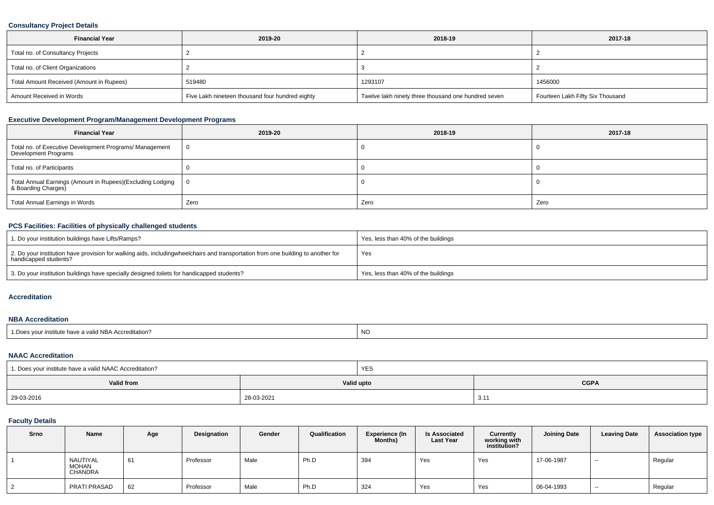# **Consultancy Project Details**

| <b>Financial Year</b>                    | 2019-20                                         | 2018-19                                             | 2017-18                          |
|------------------------------------------|-------------------------------------------------|-----------------------------------------------------|----------------------------------|
| Total no. of Consultancy Projects        |                                                 |                                                     |                                  |
| Total no. of Client Organizations        |                                                 |                                                     |                                  |
| Total Amount Received (Amount in Rupees) | 519480                                          | 1293107                                             | 1456000                          |
| Amount Received in Words                 | Five Lakh nineteen thousand four hundred eighty | Twelve lakh ninety three thousand one hundred seven | Fourteen Lakh Fifty Six Thousand |

# **Executive Development Program/Management Development Programs**

| <b>Financial Year</b>                                                            | 2019-20 | 2018-19 | 2017-18 |  |  |
|----------------------------------------------------------------------------------|---------|---------|---------|--|--|
| Total no. of Executive Development Programs/ Management<br>Development Programs  |         |         |         |  |  |
| Total no. of Participants                                                        |         |         |         |  |  |
| Total Annual Earnings (Amount in Rupees)(Excluding Lodging   8 Boarding Charges) |         |         |         |  |  |
| Total Annual Earnings in Words                                                   | Zero    | Zero    | Zero    |  |  |

## **PCS Facilities: Facilities of physically challenged students**

| 1. Do your institution buildings have Lifts/Ramps?                                                                                                        | Yes, less than 40% of the buildings |
|-----------------------------------------------------------------------------------------------------------------------------------------------------------|-------------------------------------|
| 2. Do your institution have provision for walking aids, includingwheelchairs and transportation from one building to another for<br>handicapped students? | Yes                                 |
| 3. Do your institution buildings have specially designed toilets for handicapped students?                                                                | Yes, less than 40% of the buildings |

#### **Accreditation**

#### **NBA Accreditation**

| $H = H \cup H$<br>$\cdots$<br><b>NO</b><br>⊟ Dooc<br>NBA Accreditation?<br>Nour institute have a valid |  |  |
|--------------------------------------------------------------------------------------------------------|--|--|
|--------------------------------------------------------------------------------------------------------|--|--|

## **NAAC Accreditation**

| 1. Does your institute have a valid NAAC Accreditation? |            | <b>YES</b> |               |  |  |
|---------------------------------------------------------|------------|------------|---------------|--|--|
| Valid from                                              |            | Valid upto | <b>CGPA</b>   |  |  |
| 29-03-2016                                              | 28-03-2021 |            | $3.1^{\circ}$ |  |  |

## **Faculty Details**

| Srno | Name                                | Age | Designation | Gender | Qualification | <b>Experience (In</b><br><b>Months)</b> | <b>Is Associated</b><br><b>Last Year</b> | Currently<br>working with<br>institution? | <b>Joining Date</b> | <b>Leaving Date</b> | <b>Association type</b> |
|------|-------------------------------------|-----|-------------|--------|---------------|-----------------------------------------|------------------------------------------|-------------------------------------------|---------------------|---------------------|-------------------------|
|      | NAUTIYAL<br><b>MOHAN</b><br>CHANDRA | 61  | Professor   | Male   | Ph.D          | 394                                     | Yes                                      | Yes                                       | 17-06-1987          | $-$                 | Regular                 |
|      | PRATI PRASAD                        | 62  | Professor   | Male   | Ph.D          | 324                                     | Yes                                      | Yes                                       | 06-04-1993          | $- -$               | Regular                 |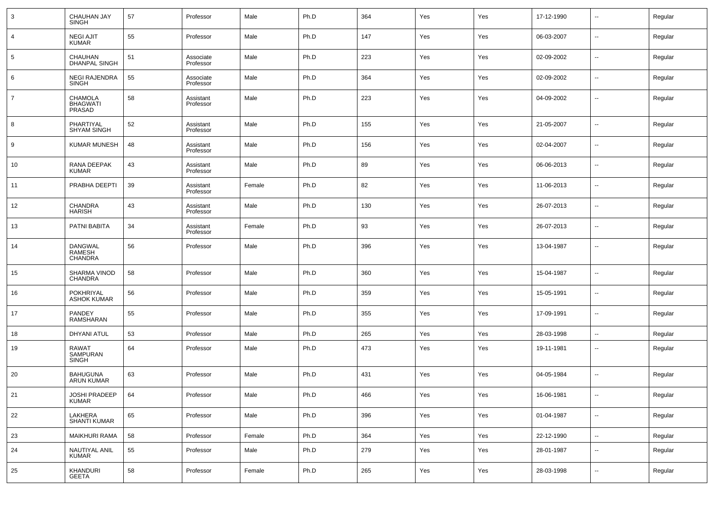| 3              | CHAUHAN JAY<br><b>SINGH</b>                | 57 | Professor              | Male   | Ph.D | 364 | Yes | Yes | 17-12-1990 | $\sim$                   | Regular |
|----------------|--------------------------------------------|----|------------------------|--------|------|-----|-----|-----|------------|--------------------------|---------|
| 4              | <b>NEGI AJIT</b><br><b>KUMAR</b>           | 55 | Professor              | Male   | Ph.D | 147 | Yes | Yes | 06-03-2007 | $\sim$                   | Regular |
| 5              | <b>CHAUHAN</b><br><b>DHANPAL SINGH</b>     | 51 | Associate<br>Professor | Male   | Ph.D | 223 | Yes | Yes | 02-09-2002 | $\sim$                   | Regular |
| 6              | <b>NEGI RAJENDRA</b><br><b>SINGH</b>       | 55 | Associate<br>Professor | Male   | Ph.D | 364 | Yes | Yes | 02-09-2002 | $\sim$                   | Regular |
| $\overline{7}$ | CHAMOLA<br>BHAGWATI<br><b>PRASAD</b>       | 58 | Assistant<br>Professor | Male   | Ph.D | 223 | Yes | Yes | 04-09-2002 | $\sim$                   | Regular |
| 8              | PHARTIYAL<br><b>SHYAM SINGH</b>            | 52 | Assistant<br>Professor | Male   | Ph.D | 155 | Yes | Yes | 21-05-2007 | ш,                       | Regular |
| 9              | <b>KUMAR MUNESH</b>                        | 48 | Assistant<br>Professor | Male   | Ph.D | 156 | Yes | Yes | 02-04-2007 | $\overline{\phantom{a}}$ | Regular |
| 10             | RANA DEEPAK<br><b>KUMAR</b>                | 43 | Assistant<br>Professor | Male   | Ph.D | 89  | Yes | Yes | 06-06-2013 | $\overline{\phantom{a}}$ | Regular |
| 11             | PRABHA DEEPTI                              | 39 | Assistant<br>Professor | Female | Ph.D | 82  | Yes | Yes | 11-06-2013 | $\overline{\phantom{a}}$ | Regular |
| 12             | CHANDRA<br><b>HARISH</b>                   | 43 | Assistant<br>Professor | Male   | Ph.D | 130 | Yes | Yes | 26-07-2013 | $\overline{\phantom{a}}$ | Regular |
| 13             | PATNI BABITA                               | 34 | Assistant<br>Professor | Female | Ph.D | 93  | Yes | Yes | 26-07-2013 | $\overline{\phantom{a}}$ | Regular |
| 14             | <b>DANGWAL</b><br>RAMESH<br><b>CHANDRA</b> | 56 | Professor              | Male   | Ph.D | 396 | Yes | Yes | 13-04-1987 | $\overline{\phantom{a}}$ | Regular |
| 15             | SHARMA VINOD<br><b>CHANDRA</b>             | 58 | Professor              | Male   | Ph.D | 360 | Yes | Yes | 15-04-1987 | --                       | Regular |
| 16             | <b>POKHRIYAL</b><br><b>ASHOK KUMAR</b>     | 56 | Professor              | Male   | Ph.D | 359 | Yes | Yes | 15-05-1991 | --                       | Regular |
| 17             | <b>PANDEY</b><br><b>RAMSHARAN</b>          | 55 | Professor              | Male   | Ph.D | 355 | Yes | Yes | 17-09-1991 | --                       | Regular |
| 18             | <b>DHYANI ATUL</b>                         | 53 | Professor              | Male   | Ph.D | 265 | Yes | Yes | 28-03-1998 | --                       | Regular |
| 19             | <b>RAWAT</b><br>SAMPURAN<br><b>SINGH</b>   | 64 | Professor              | Male   | Ph.D | 473 | Yes | Yes | 19-11-1981 | $\overline{\phantom{a}}$ | Regular |
| 20             | <b>BAHUGUNA</b><br>ARUN KUMAR              | 63 | Professor              | Male   | Ph.D | 431 | Yes | Yes | 04-05-1984 |                          | Regular |
| 21             | JOSHI PRADEEP<br><b>KUMAR</b>              | 64 | Professor              | Male   | Ph.D | 466 | Yes | Yes | 16-06-1981 | $\overline{\phantom{a}}$ | Regular |
| 22             | LAKHERA<br>SHANTI KUMAR                    | 65 | Professor              | Male   | Ph.D | 396 | Yes | Yes | 01-04-1987 | ٠.                       | Regular |
| 23             | <b>MAIKHURI RAMA</b>                       | 58 | Professor              | Female | Ph.D | 364 | Yes | Yes | 22-12-1990 | u,                       | Regular |
| 24             | NAUTIYAL ANIL<br>KUMAR                     | 55 | Professor              | Male   | Ph.D | 279 | Yes | Yes | 28-01-1987 | $\overline{\phantom{a}}$ | Regular |
| 25             | KHANDURI<br><b>GEETA</b>                   | 58 | Professor              | Female | Ph.D | 265 | Yes | Yes | 28-03-1998 | $\overline{\phantom{a}}$ | Regular |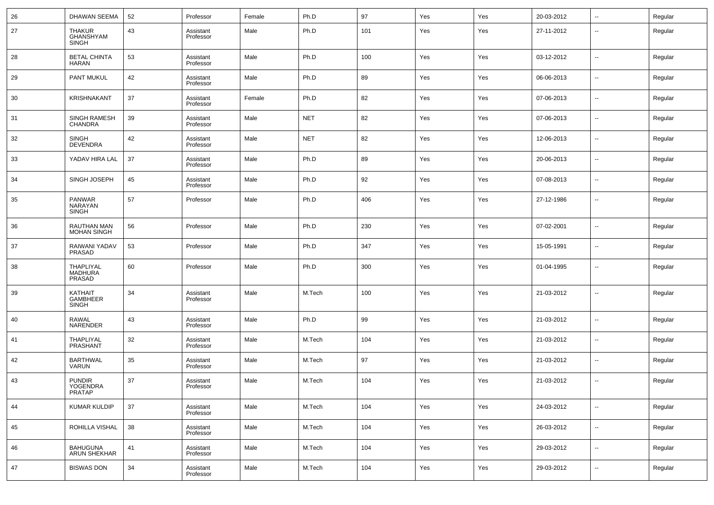| 26 | <b>DHAWAN SEEMA</b>                               | 52 | Professor              | Female | Ph.D       | 97  | Yes | Yes | 20-03-2012 | $\overline{\phantom{a}}$ | Regular |
|----|---------------------------------------------------|----|------------------------|--------|------------|-----|-----|-----|------------|--------------------------|---------|
| 27 | <b>THAKUR</b><br>GHANSHYAM<br><b>SINGH</b>        | 43 | Assistant<br>Professor | Male   | Ph.D       | 101 | Yes | Yes | 27-11-2012 | --                       | Regular |
| 28 | <b>BETAL CHINTA</b><br><b>HARAN</b>               | 53 | Assistant<br>Professor | Male   | Ph.D       | 100 | Yes | Yes | 03-12-2012 | $\overline{\phantom{a}}$ | Regular |
| 29 | PANT MUKUL                                        | 42 | Assistant<br>Professor | Male   | Ph.D       | 89  | Yes | Yes | 06-06-2013 | $\sim$                   | Regular |
| 30 | <b>KRISHNAKANT</b>                                | 37 | Assistant<br>Professor | Female | Ph.D       | 82  | Yes | Yes | 07-06-2013 | $\sim$                   | Regular |
| 31 | <b>SINGH RAMESH</b><br><b>CHANDRA</b>             | 39 | Assistant<br>Professor | Male   | <b>NET</b> | 82  | Yes | Yes | 07-06-2013 | $\overline{\phantom{a}}$ | Regular |
| 32 | <b>SINGH</b><br><b>DEVENDRA</b>                   | 42 | Assistant<br>Professor | Male   | <b>NET</b> | 82  | Yes | Yes | 12-06-2013 | $\sim$                   | Regular |
| 33 | YADAV HIRA LAL                                    | 37 | Assistant<br>Professor | Male   | Ph.D       | 89  | Yes | Yes | 20-06-2013 | $\overline{\phantom{a}}$ | Regular |
| 34 | SINGH JOSEPH                                      | 45 | Assistant<br>Professor | Male   | Ph.D       | 92  | Yes | Yes | 07-08-2013 | $\sim$                   | Regular |
| 35 | <b>PANWAR</b><br><b>NARAYAN</b><br><b>SINGH</b>   | 57 | Professor              | Male   | Ph.D       | 406 | Yes | Yes | 27-12-1986 | $\overline{a}$           | Regular |
| 36 | <b>RAUTHAN MAN</b><br><b>MOHAN SINGH</b>          | 56 | Professor              | Male   | Ph.D       | 230 | Yes | Yes | 07-02-2001 | $\sim$                   | Regular |
| 37 | RAIWANI YADAV<br>PRASAD                           | 53 | Professor              | Male   | Ph.D       | 347 | Yes | Yes | 15-05-1991 | $\sim$                   | Regular |
| 38 | <b>THAPLIYAL</b><br><b>MADHURA</b><br>PRASAD      | 60 | Professor              | Male   | Ph.D       | 300 | Yes | Yes | 01-04-1995 | --                       | Regular |
| 39 | <b>KATHAIT</b><br><b>GAMBHEER</b><br><b>SINGH</b> | 34 | Assistant<br>Professor | Male   | M.Tech     | 100 | Yes | Yes | 21-03-2012 | --                       | Regular |
| 40 | RAWAL<br><b>NARENDER</b>                          | 43 | Assistant<br>Professor | Male   | Ph.D       | 99  | Yes | Yes | 21-03-2012 | $\overline{a}$           | Regular |
| 41 | THAPLIYAL<br>PRASHANT                             | 32 | Assistant<br>Professor | Male   | M.Tech     | 104 | Yes | Yes | 21-03-2012 | $\sim$                   | Regular |
| 42 | <b>BARTHWAL</b><br><b>VARUN</b>                   | 35 | Assistant<br>Professor | Male   | M.Tech     | 97  | Yes | Yes | 21-03-2012 | --                       | Regular |
| 43 | <b>PUNDIR</b><br>YOGENDRA<br><b>PRATAP</b>        | 37 | Assistant<br>Professor | Male   | M.Tech     | 104 | Yes | Yes | 21-03-2012 | $\overline{a}$           | Regular |
| 44 | <b>KUMAR KULDIP</b>                               | 37 | Assistant<br>Professor | Male   | M.Tech     | 104 | Yes | Yes | 24-03-2012 | $\overline{\phantom{a}}$ | Regular |
| 45 | ROHILLA VISHAL                                    | 38 | Assistant<br>Professor | Male   | M.Tech     | 104 | Yes | Yes | 26-03-2012 | $\overline{\phantom{a}}$ | Regular |
| 46 | BAHUGUNA<br>ARUN SHEKHAR                          | 41 | Assistant<br>Professor | Male   | M.Tech     | 104 | Yes | Yes | 29-03-2012 | $\overline{\phantom{a}}$ | Regular |
| 47 | <b>BISWAS DON</b>                                 | 34 | Assistant<br>Professor | Male   | M.Tech     | 104 | Yes | Yes | 29-03-2012 | $\sim$                   | Regular |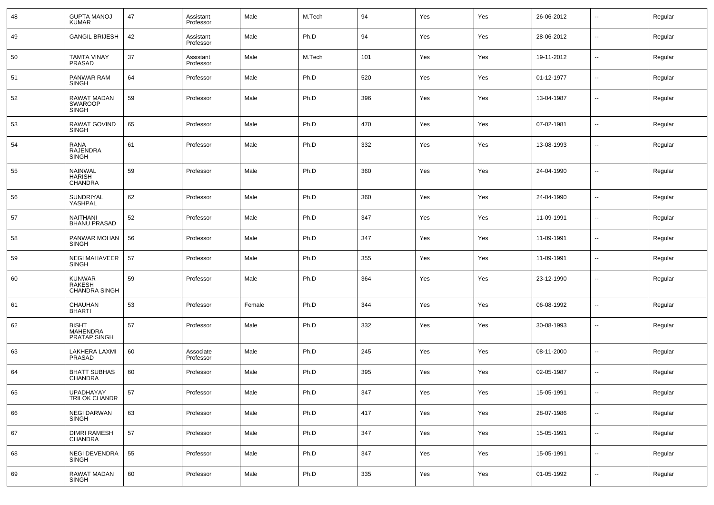| 48 | <b>GUPTA MANOJ</b><br><b>KUMAR</b>                   | 47 | Assistant<br>Professor | Male   | M.Tech | 94  | Yes | Yes | 26-06-2012 | $\overline{\phantom{a}}$ | Regular |
|----|------------------------------------------------------|----|------------------------|--------|--------|-----|-----|-----|------------|--------------------------|---------|
| 49 | <b>GANGIL BRIJESH</b>                                | 42 | Assistant<br>Professor | Male   | Ph.D   | 94  | Yes | Yes | 28-06-2012 | $\sim$                   | Regular |
| 50 | <b>TAMTA VINAY</b><br><b>PRASAD</b>                  | 37 | Assistant<br>Professor | Male   | M.Tech | 101 | Yes | Yes | 19-11-2012 | $\sim$                   | Regular |
| 51 | PANWAR RAM<br><b>SINGH</b>                           | 64 | Professor              | Male   | Ph.D   | 520 | Yes | Yes | 01-12-1977 | $\overline{\phantom{a}}$ | Regular |
| 52 | <b>RAWAT MADAN</b><br><b>SWAROOP</b><br><b>SINGH</b> | 59 | Professor              | Male   | Ph.D   | 396 | Yes | Yes | 13-04-1987 | $\sim$                   | Regular |
| 53 | RAWAT GOVIND<br><b>SINGH</b>                         | 65 | Professor              | Male   | Ph.D   | 470 | Yes | Yes | 07-02-1981 | $\overline{\phantom{a}}$ | Regular |
| 54 | RANA<br><b>RAJENDRA</b><br><b>SINGH</b>              | 61 | Professor              | Male   | Ph.D   | 332 | Yes | Yes | 13-08-1993 | $\overline{\phantom{a}}$ | Regular |
| 55 | <b>NAINWAL</b><br><b>HARISH</b><br>CHANDRA           | 59 | Professor              | Male   | Ph.D   | 360 | Yes | Yes | 24-04-1990 | --                       | Regular |
| 56 | SUNDRIYAL<br>YASHPAL                                 | 62 | Professor              | Male   | Ph.D   | 360 | Yes | Yes | 24-04-1990 | $\sim$                   | Regular |
| 57 | <b>NAITHANI</b><br><b>BHANU PRASAD</b>               | 52 | Professor              | Male   | Ph.D   | 347 | Yes | Yes | 11-09-1991 | $\sim$                   | Regular |
| 58 | PANWAR MOHAN<br><b>SINGH</b>                         | 56 | Professor              | Male   | Ph.D   | 347 | Yes | Yes | 11-09-1991 | $\sim$                   | Regular |
| 59 | <b>NEGI MAHAVEER</b><br><b>SINGH</b>                 | 57 | Professor              | Male   | Ph.D   | 355 | Yes | Yes | 11-09-1991 | $\sim$                   | Regular |
| 60 | <b>KUNWAR</b><br>RAKESH<br>CHANDRA SINGH             | 59 | Professor              | Male   | Ph.D   | 364 | Yes | Yes | 23-12-1990 | $\sim$                   | Regular |
| 61 | CHAUHAN<br><b>BHARTI</b>                             | 53 | Professor              | Female | Ph.D   | 344 | Yes | Yes | 06-08-1992 | --                       | Regular |
| 62 | <b>BISHT</b><br><b>MAHENDRA</b><br>PRATAP SINGH      | 57 | Professor              | Male   | Ph.D   | 332 | Yes | Yes | 30-08-1993 | $\sim$                   | Regular |
| 63 | LAKHERA LAXMI<br><b>PRASAD</b>                       | 60 | Associate<br>Professor | Male   | Ph.D   | 245 | Yes | Yes | 08-11-2000 | ш.                       | Regular |
| 64 | <b>BHATT SUBHAS</b><br><b>CHANDRA</b>                | 60 | Professor              | Male   | Ph.D   | 395 | Yes | Yes | 02-05-1987 | --                       | Regular |
| 65 | UPADHAYAY<br>TRILOK CHANDR                           | 57 | Professor              | Male   | Ph.D   | 347 | Yes | Yes | 15-05-1991 | $\sim$                   | Regular |
| 66 | NEGI DARWAN<br>SINGH                                 | 63 | Professor              | Male   | Ph.D   | 417 | Yes | Yes | 28-07-1986 | $\overline{\phantom{a}}$ | Regular |
| 67 | <b>DIMRI RAMESH</b><br>CHANDRA                       | 57 | Professor              | Male   | Ph.D   | 347 | Yes | Yes | 15-05-1991 | $\overline{\phantom{a}}$ | Regular |
| 68 | NEGI DEVENDRA<br>SINGH                               | 55 | Professor              | Male   | Ph.D   | 347 | Yes | Yes | 15-05-1991 | $\overline{\phantom{a}}$ | Regular |
| 69 | RAWAT MADAN<br><b>SINGH</b>                          | 60 | Professor              | Male   | Ph.D   | 335 | Yes | Yes | 01-05-1992 | $\sim$                   | Regular |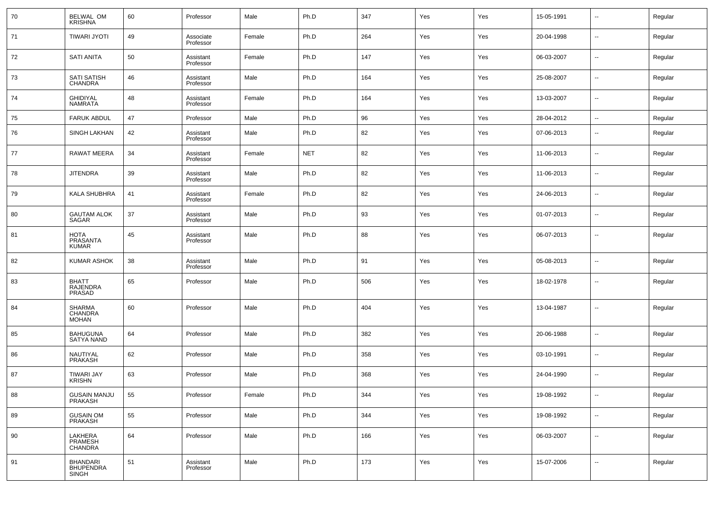| 70 | BELWAL OM<br>KRISHNA                         | 60 | Professor              | Male   | Ph.D       | 347 | Yes | Yes | 15-05-1991 | $\overline{\phantom{a}}$ | Regular |
|----|----------------------------------------------|----|------------------------|--------|------------|-----|-----|-----|------------|--------------------------|---------|
| 71 | <b>TIWARI JYOTI</b>                          | 49 | Associate<br>Professor | Female | Ph.D       | 264 | Yes | Yes | 20-04-1998 | $\sim$                   | Regular |
| 72 | <b>SATI ANITA</b>                            | 50 | Assistant<br>Professor | Female | Ph.D       | 147 | Yes | Yes | 06-03-2007 | $\sim$                   | Regular |
| 73 | <b>SATI SATISH</b><br><b>CHANDRA</b>         | 46 | Assistant<br>Professor | Male   | Ph.D       | 164 | Yes | Yes | 25-08-2007 | $\sim$                   | Regular |
| 74 | <b>GHIDIYAL</b><br><b>NAMRATA</b>            | 48 | Assistant<br>Professor | Female | Ph.D       | 164 | Yes | Yes | 13-03-2007 | $\sim$                   | Regular |
| 75 | <b>FARUK ABDUL</b>                           | 47 | Professor              | Male   | Ph.D       | 96  | Yes | Yes | 28-04-2012 | $\overline{\phantom{a}}$ | Regular |
| 76 | <b>SINGH LAKHAN</b>                          | 42 | Assistant<br>Professor | Male   | Ph.D       | 82  | Yes | Yes | 07-06-2013 | $\overline{\phantom{a}}$ | Regular |
| 77 | <b>RAWAT MEERA</b>                           | 34 | Assistant<br>Professor | Female | <b>NET</b> | 82  | Yes | Yes | 11-06-2013 | $\overline{\phantom{a}}$ | Regular |
| 78 | <b>JITENDRA</b>                              | 39 | Assistant<br>Professor | Male   | Ph.D       | 82  | Yes | Yes | 11-06-2013 | $\overline{\phantom{a}}$ | Regular |
| 79 | <b>KALA SHUBHRA</b>                          | 41 | Assistant<br>Professor | Female | Ph.D       | 82  | Yes | Yes | 24-06-2013 | $\overline{\phantom{a}}$ | Regular |
| 80 | <b>GAUTAM ALOK</b><br>SAGAR                  | 37 | Assistant<br>Professor | Male   | Ph.D       | 93  | Yes | Yes | 01-07-2013 | $\overline{\phantom{a}}$ | Regular |
| 81 | HOTA<br>PRASANTA<br><b>KUMAR</b>             | 45 | Assistant<br>Professor | Male   | Ph.D       | 88  | Yes | Yes | 06-07-2013 | $\overline{\phantom{a}}$ | Regular |
| 82 | <b>KUMAR ASHOK</b>                           | 38 | Assistant<br>Professor | Male   | Ph.D       | 91  | Yes | Yes | 05-08-2013 | --                       | Regular |
| 83 | <b>BHATT</b><br><b>RAJENDRA</b><br>PRASAD    | 65 | Professor              | Male   | Ph.D       | 506 | Yes | Yes | 18-02-1978 | --                       | Regular |
| 84 | SHARMA<br>CHANDRA<br><b>MOHAN</b>            | 60 | Professor              | Male   | Ph.D       | 404 | Yes | Yes | 13-04-1987 | $\sim$                   | Regular |
| 85 | <b>BAHUGUNA</b><br><b>SATYA NAND</b>         | 64 | Professor              | Male   | Ph.D       | 382 | Yes | Yes | 20-06-1988 | $\overline{\phantom{a}}$ | Regular |
| 86 | NAUTIYAL<br><b>PRAKASH</b>                   | 62 | Professor              | Male   | Ph.D       | 358 | Yes | Yes | 03-10-1991 | $\overline{\phantom{a}}$ | Regular |
| 87 | <b>TIWARI JAY</b><br><b>KRISHN</b>           | 63 | Professor              | Male   | Ph.D       | 368 | Yes | Yes | 24-04-1990 | $\overline{\phantom{a}}$ | Regular |
| 88 | GUSAIN MANJU<br>PRAKASH                      | 55 | Professor              | Female | Ph.D       | 344 | Yes | Yes | 19-08-1992 | $\overline{\phantom{a}}$ | Regular |
| 89 | GUSAIN OM<br>PRAKASH                         | 55 | Professor              | Male   | Ph.D       | 344 | Yes | Yes | 19-08-1992 | $\sim$                   | Regular |
| 90 | LAKHERA<br>PRAMESH<br>CHANDRA                | 64 | Professor              | Male   | Ph.D       | 166 | Yes | Yes | 06-03-2007 | $\sim$                   | Regular |
| 91 | <b>BHANDARI</b><br><b>BHUPENDRA</b><br>SINGH | 51 | Assistant<br>Professor | Male   | Ph.D       | 173 | Yes | Yes | 15-07-2006 | $\sim$                   | Regular |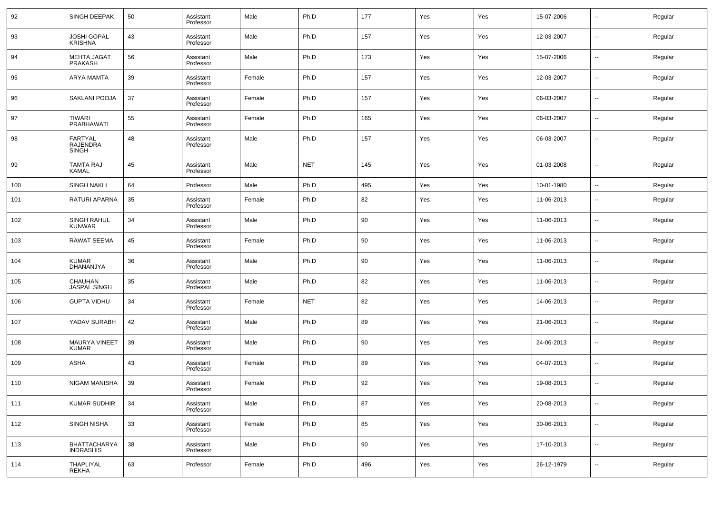| 92  | SINGH DEEPAK                                      | 50 | Assistant<br>Professor | Male   | Ph.D       | 177    | Yes | Yes | 15-07-2006 | $\overline{\phantom{a}}$ | Regular |
|-----|---------------------------------------------------|----|------------------------|--------|------------|--------|-----|-----|------------|--------------------------|---------|
| 93  | <b>JOSHI GOPAL</b><br><b>KRISHNA</b>              | 43 | Assistant<br>Professor | Male   | Ph.D       | 157    | Yes | Yes | 12-03-2007 | $\overline{\phantom{a}}$ | Regular |
| 94  | <b>MEHTA JAGAT</b><br><b>PRAKASH</b>              | 56 | Assistant<br>Professor | Male   | Ph.D       | 173    | Yes | Yes | 15-07-2006 | $\overline{\phantom{a}}$ | Regular |
| 95  | ARYA MAMTA                                        | 39 | Assistant<br>Professor | Female | Ph.D       | 157    | Yes | Yes | 12-03-2007 | $\overline{\phantom{a}}$ | Regular |
| 96  | SAKLANI POOJA                                     | 37 | Assistant<br>Professor | Female | Ph.D       | 157    | Yes | Yes | 06-03-2007 | $\overline{\phantom{a}}$ | Regular |
| 97  | TIWARI<br><b>PRABHAWATI</b>                       | 55 | Assistant<br>Professor | Female | Ph.D       | 165    | Yes | Yes | 06-03-2007 | $\overline{\phantom{a}}$ | Regular |
| 98  | <b>FARTYAL</b><br><b>RAJENDRA</b><br><b>SINGH</b> | 48 | Assistant<br>Professor | Male   | Ph.D       | 157    | Yes | Yes | 06-03-2007 | $\overline{\phantom{a}}$ | Regular |
| 99  | <b>TAMTA RAJ</b><br><b>KAMAL</b>                  | 45 | Assistant<br>Professor | Male   | <b>NET</b> | 145    | Yes | Yes | 01-03-2008 | --                       | Regular |
| 100 | <b>SINGH NAKLI</b>                                | 64 | Professor              | Male   | Ph.D       | 495    | Yes | Yes | 10-01-1980 | $\overline{\phantom{a}}$ | Regular |
| 101 | RATURI APARNA                                     | 35 | Assistant<br>Professor | Female | Ph.D       | 82     | Yes | Yes | 11-06-2013 | $\overline{\phantom{a}}$ | Regular |
| 102 | <b>SINGH RAHUL</b><br><b>KUNWAR</b>               | 34 | Assistant<br>Professor | Male   | Ph.D       | 90     | Yes | Yes | 11-06-2013 | $\overline{\phantom{a}}$ | Regular |
| 103 | RAWAT SEEMA                                       | 45 | Assistant<br>Professor | Female | Ph.D       | 90     | Yes | Yes | 11-06-2013 | $\overline{\phantom{a}}$ | Regular |
| 104 | <b>KUMAR</b><br>DHANANJYA                         | 36 | Assistant<br>Professor | Male   | Ph.D       | 90     | Yes | Yes | 11-06-2013 | $\overline{\phantom{a}}$ | Regular |
| 105 | CHAUHAN<br><b>JASPAL SINGH</b>                    | 35 | Assistant<br>Professor | Male   | Ph.D       | 82     | Yes | Yes | 11-06-2013 | $\overline{\phantom{a}}$ | Regular |
| 106 | <b>GUPTA VIDHU</b>                                | 34 | Assistant<br>Professor | Female | <b>NET</b> | 82     | Yes | Yes | 14-06-2013 | $\overline{\phantom{a}}$ | Regular |
| 107 | YADAV SURABH                                      | 42 | Assistant<br>Professor | Male   | Ph.D       | 89     | Yes | Yes | 21-06-2013 | $\overline{\phantom{a}}$ | Regular |
| 108 | MAURYA VINEET<br><b>KUMAR</b>                     | 39 | Assistant<br>Professor | Male   | Ph.D       | 90     | Yes | Yes | 24-06-2013 | $\overline{\phantom{a}}$ | Regular |
| 109 | ASHA                                              | 43 | Assistant<br>Professor | Female | Ph.D       | 89     | Yes | Yes | 04-07-2013 | $\overline{\phantom{a}}$ | Regular |
| 110 | NIGAM MANISHA                                     | 39 | Assistant<br>Professor | Female | Ph.D       | 92     | Yes | Yes | 19-08-2013 | $\overline{\phantom{a}}$ | Regular |
| 111 | <b>KUMAR SUDHIR</b>                               | 34 | Assistant<br>Professor | Male   | Ph.D       | 87     | Yes | Yes | 20-08-2013 | $\overline{\phantom{a}}$ | Regular |
| 112 | SINGH NISHA                                       | 33 | Assistant<br>Professor | Female | Ph.D       | 85     | Yes | Yes | 30-06-2013 | $\overline{\phantom{a}}$ | Regular |
| 113 | BHATTACHARYA<br><b>INDRASHIS</b>                  | 38 | Assistant<br>Professor | Male   | Ph.D       | $90\,$ | Yes | Yes | 17-10-2013 | $\overline{\phantom{a}}$ | Regular |
| 114 | THAPLIYAL<br>REKHA                                | 63 | Professor              | Female | Ph.D       | 496    | Yes | Yes | 26-12-1979 | ۰.                       | Regular |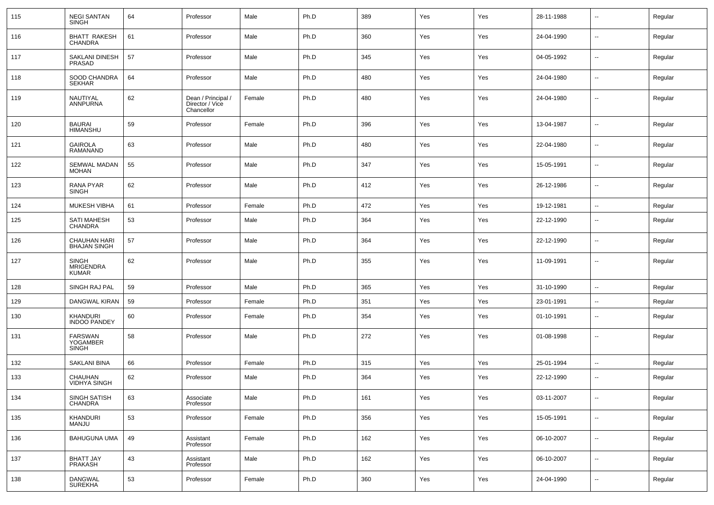| 115 | <b>NEGI SANTAN</b><br><b>SINGH</b>               | 64 | Professor                                           | Male   | Ph.D | 389 | Yes | Yes | 28-11-1988 | $\overline{\phantom{a}}$ | Regular |
|-----|--------------------------------------------------|----|-----------------------------------------------------|--------|------|-----|-----|-----|------------|--------------------------|---------|
| 116 | <b>BHATT RAKESH</b><br><b>CHANDRA</b>            | 61 | Professor                                           | Male   | Ph.D | 360 | Yes | Yes | 24-04-1990 | $\overline{\phantom{a}}$ | Regular |
| 117 | SAKLANI DINESH<br>PRASAD                         | 57 | Professor                                           | Male   | Ph.D | 345 | Yes | Yes | 04-05-1992 | $\overline{\phantom{a}}$ | Regular |
| 118 | SOOD CHANDRA<br><b>SEKHAR</b>                    | 64 | Professor                                           | Male   | Ph.D | 480 | Yes | Yes | 24-04-1980 | $\overline{\phantom{a}}$ | Regular |
| 119 | NAUTIYAL<br>ANNPURNA                             | 62 | Dean / Principal /<br>Director / Vice<br>Chancellor | Female | Ph.D | 480 | Yes | Yes | 24-04-1980 | --                       | Regular |
| 120 | <b>BAURAI</b><br><b>HIMANSHU</b>                 | 59 | Professor                                           | Female | Ph.D | 396 | Yes | Yes | 13-04-1987 | $\overline{\phantom{a}}$ | Regular |
| 121 | <b>GAIROLA</b><br><b>RAMANAND</b>                | 63 | Professor                                           | Male   | Ph.D | 480 | Yes | Yes | 22-04-1980 | $\overline{\phantom{a}}$ | Regular |
| 122 | SEMWAL MADAN<br><b>MOHAN</b>                     | 55 | Professor                                           | Male   | Ph.D | 347 | Yes | Yes | 15-05-1991 | $\overline{\phantom{a}}$ | Regular |
| 123 | RANA PYAR<br><b>SINGH</b>                        | 62 | Professor                                           | Male   | Ph.D | 412 | Yes | Yes | 26-12-1986 | $\overline{\phantom{a}}$ | Regular |
| 124 | <b>MUKESH VIBHA</b>                              | 61 | Professor                                           | Female | Ph.D | 472 | Yes | Yes | 19-12-1981 | $\overline{\phantom{a}}$ | Regular |
| 125 | <b>SATI MAHESH</b><br>CHANDRA                    | 53 | Professor                                           | Male   | Ph.D | 364 | Yes | Yes | 22-12-1990 | $\sim$                   | Regular |
| 126 | CHAUHAN HARI<br><b>BHAJAN SINGH</b>              | 57 | Professor                                           | Male   | Ph.D | 364 | Yes | Yes | 22-12-1990 | $\overline{\phantom{a}}$ | Regular |
| 127 | <b>SINGH</b><br><b>MRIGENDRA</b><br><b>KUMAR</b> | 62 | Professor                                           | Male   | Ph.D | 355 | Yes | Yes | 11-09-1991 | --                       | Regular |
| 128 | SINGH RAJ PAL                                    | 59 | Professor                                           | Male   | Ph.D | 365 | Yes | Yes | 31-10-1990 | $\overline{\phantom{a}}$ | Regular |
| 129 | DANGWAL KIRAN                                    | 59 | Professor                                           | Female | Ph.D | 351 | Yes | Yes | 23-01-1991 | $\overline{\phantom{a}}$ | Regular |
| 130 | KHANDURI<br><b>INDOO PANDEY</b>                  | 60 | Professor                                           | Female | Ph.D | 354 | Yes | Yes | 01-10-1991 | --                       | Regular |
| 131 | FARSWAN<br><b>YOGAMBER</b><br><b>SINGH</b>       | 58 | Professor                                           | Male   | Ph.D | 272 | Yes | Yes | 01-08-1998 | --                       | Regular |
| 132 | <b>SAKLANI BINA</b>                              | 66 | Professor                                           | Female | Ph.D | 315 | Yes | Yes | 25-01-1994 | $\sim$                   | Regular |
| 133 | CHAUHAN<br><b>VIDHYA SINGH</b>                   | 62 | Professor                                           | Male   | Ph.D | 364 | Yes | Yes | 22-12-1990 | --                       | Regular |
| 134 | SINGH SATISH<br>CHANDRA                          | 63 | Associate<br>Professor                              | Male   | Ph.D | 161 | Yes | Yes | 03-11-2007 | $\sim$                   | Regular |
| 135 | KHANDURI<br><b>MANJU</b>                         | 53 | Professor                                           | Female | Ph.D | 356 | Yes | Yes | 15-05-1991 | $\overline{\phantom{a}}$ | Regular |
| 136 | <b>BAHUGUNA UMA</b>                              | 49 | Assistant<br>Professor                              | Female | Ph.D | 162 | Yes | Yes | 06-10-2007 | $\sim$                   | Regular |
| 137 | <b>BHATT JAY</b><br><b>PRAKASH</b>               | 43 | Assistant<br>Professor                              | Male   | Ph.D | 162 | Yes | Yes | 06-10-2007 | $\sim$                   | Regular |
| 138 | DANGWAL<br><b>SUREKHA</b>                        | 53 | Professor                                           | Female | Ph.D | 360 | Yes | Yes | 24-04-1990 | $\overline{\phantom{a}}$ | Regular |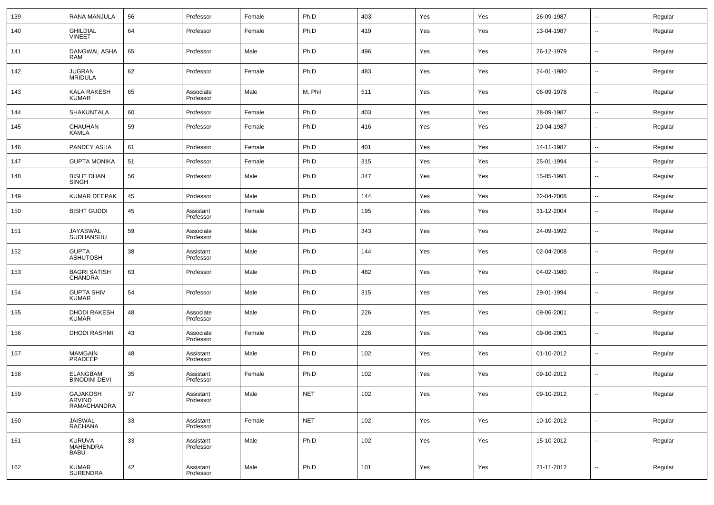| 139 | RANA MANJULA                                    | 56 | Professor              | Female | Ph.D       | 403 | Yes | Yes | 26-09-1987 | $\overline{\phantom{a}}$ | Regular |
|-----|-------------------------------------------------|----|------------------------|--------|------------|-----|-----|-----|------------|--------------------------|---------|
| 140 | <b>GHILDIAL</b><br><b>VINEET</b>                | 64 | Professor              | Female | Ph.D       | 419 | Yes | Yes | 13-04-1987 | $\overline{\phantom{a}}$ | Regular |
| 141 | DANGWAL ASHA<br>RAM                             | 65 | Professor              | Male   | Ph.D       | 496 | Yes | Yes | 26-12-1979 | $\overline{\phantom{a}}$ | Regular |
| 142 | <b>JUGRAN</b><br><b>MRIDULA</b>                 | 62 | Professor              | Female | Ph.D       | 483 | Yes | Yes | 24-01-1980 | $\overline{\phantom{a}}$ | Regular |
| 143 | <b>KALA RAKESH</b><br><b>KUMAR</b>              | 65 | Associate<br>Professor | Male   | M. Phil    | 511 | Yes | Yes | 06-09-1978 | $\overline{\phantom{a}}$ | Regular |
| 144 | SHAKUNTALA                                      | 60 | Professor              | Female | Ph.D       | 403 | Yes | Yes | 28-09-1987 | $\overline{\phantom{a}}$ | Regular |
| 145 | CHAUHAN<br><b>KAMLA</b>                         | 59 | Professor              | Female | Ph.D       | 416 | Yes | Yes | 20-04-1987 | $\overline{\phantom{a}}$ | Regular |
| 146 | PANDEY ASHA                                     | 61 | Professor              | Female | Ph.D       | 401 | Yes | Yes | 14-11-1987 | $\overline{\phantom{a}}$ | Regular |
| 147 | <b>GUPTA MONIKA</b>                             | 51 | Professor              | Female | Ph.D       | 315 | Yes | Yes | 25-01-1994 | $\overline{\phantom{a}}$ | Regular |
| 148 | <b>BISHT DHAN</b><br><b>SINGH</b>               | 56 | Professor              | Male   | Ph.D       | 347 | Yes | Yes | 15-05-1991 | $\overline{\phantom{a}}$ | Regular |
| 149 | <b>KUMAR DEEPAK</b>                             | 45 | Professor              | Male   | Ph.D       | 144 | Yes | Yes | 22-04-2008 | $\overline{\phantom{a}}$ | Regular |
| 150 | <b>BISHT GUDDI</b>                              | 45 | Assistant<br>Professor | Female | Ph.D       | 195 | Yes | Yes | 31-12-2004 | $\overline{\phantom{a}}$ | Regular |
| 151 | JAYASWAL<br>SUDHANSHU                           | 59 | Associate<br>Professor | Male   | Ph.D       | 343 | Yes | Yes | 24-09-1992 | $\overline{\phantom{a}}$ | Regular |
| 152 | <b>GUPTA</b><br><b>ASHUTOSH</b>                 | 38 | Assistant<br>Professor | Male   | Ph.D       | 144 | Yes | Yes | 02-04-2008 | $\overline{\phantom{a}}$ | Regular |
| 153 | <b>BAGRI SATISH</b><br><b>CHANDRA</b>           | 63 | Professor              | Male   | Ph.D       | 482 | Yes | Yes | 04-02-1980 | $\overline{\phantom{a}}$ | Regular |
| 154 | <b>GUPTA SHIV</b><br><b>KUMAR</b>               | 54 | Professor              | Male   | Ph.D       | 315 | Yes | Yes | 29-01-1994 | $\sim$                   | Regular |
| 155 | <b>DHODI RAKESH</b><br><b>KUMAR</b>             | 48 | Associate<br>Professor | Male   | Ph.D       | 226 | Yes | Yes | 09-06-2001 | $\sim$                   | Regular |
| 156 | <b>DHODI RASHMI</b>                             | 43 | Associate<br>Professor | Female | Ph.D       | 226 | Yes | Yes | 09-06-2001 | $\overline{\phantom{a}}$ | Regular |
| 157 | <b>MAMGAIN</b><br>PRADEEP                       | 48 | Assistant<br>Professor | Male   | Ph.D       | 102 | Yes | Yes | 01-10-2012 | $\sim$                   | Regular |
| 158 | <b>ELANGBAM</b><br><b>BINODINI DEVI</b>         | 35 | Assistant<br>Professor | Female | Ph.D       | 102 | Yes | Yes | 09-10-2012 | $\sim$                   | Regular |
| 159 | <b>GAJAKOSH</b><br>ARVIND<br>RAMACHANDRA        | 37 | Assistant<br>Professor | Male   | <b>NET</b> | 102 | Yes | Yes | 09-10-2012 | $\overline{\phantom{a}}$ | Regular |
| 160 | JAISWAL<br><b>RACHANA</b>                       | 33 | Assistant<br>Professor | Female | <b>NET</b> | 102 | Yes | Yes | 10-10-2012 | $\overline{\phantom{a}}$ | Regular |
| 161 | <b>KURUVA</b><br><b>MAHENDRA</b><br><b>BABU</b> | 33 | Assistant<br>Professor | Male   | Ph.D       | 102 | Yes | Yes | 15-10-2012 | $\overline{\phantom{a}}$ | Regular |
| 162 | <b>KUMAR</b><br>SURENDRA                        | 42 | Assistant<br>Professor | Male   | Ph.D       | 101 | Yes | Yes | 21-11-2012 | $\overline{\phantom{a}}$ | Regular |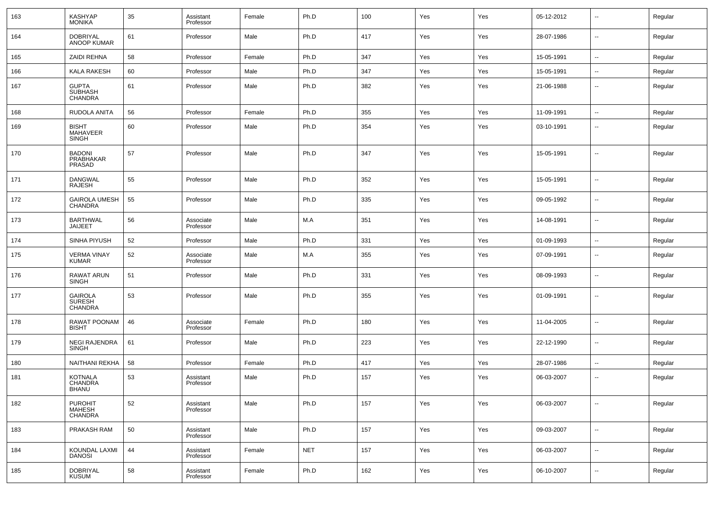| 163 | <b>KASHYAP</b><br><b>MONIKA</b>                   | 35 | Assistant<br>Professor | Female | Ph.D       | 100 | Yes | Yes | 05-12-2012 | $\overline{\phantom{a}}$ | Regular |
|-----|---------------------------------------------------|----|------------------------|--------|------------|-----|-----|-----|------------|--------------------------|---------|
| 164 | <b>DOBRIYAL</b><br><b>ANOOP KUMAR</b>             | 61 | Professor              | Male   | Ph.D       | 417 | Yes | Yes | 28-07-1986 | $\sim$                   | Regular |
| 165 | ZAIDI REHNA                                       | 58 | Professor              | Female | Ph.D       | 347 | Yes | Yes | 15-05-1991 | $\sim$                   | Regular |
| 166 | <b>KALA RAKESH</b>                                | 60 | Professor              | Male   | Ph.D       | 347 | Yes | Yes | 15-05-1991 | $\sim$                   | Regular |
| 167 | <b>GUPTA</b><br><b>SUBHASH</b><br>CHANDRA         | 61 | Professor              | Male   | Ph.D       | 382 | Yes | Yes | 21-06-1988 | $\sim$                   | Regular |
| 168 | RUDOLA ANITA                                      | 56 | Professor              | Female | Ph.D       | 355 | Yes | Yes | 11-09-1991 | $\sim$                   | Regular |
| 169 | <b>BISHT</b><br>MAHAVEER<br><b>SINGH</b>          | 60 | Professor              | Male   | Ph.D       | 354 | Yes | Yes | 03-10-1991 | --                       | Regular |
| 170 | <b>BADONI</b><br>PRABHAKAR<br>PRASAD              | 57 | Professor              | Male   | Ph.D       | 347 | Yes | Yes | 15-05-1991 | ш.                       | Regular |
| 171 | <b>DANGWAL</b><br><b>RAJESH</b>                   | 55 | Professor              | Male   | Ph.D       | 352 | Yes | Yes | 15-05-1991 | $\sim$                   | Regular |
| 172 | <b>GAIROLA UMESH</b><br><b>CHANDRA</b>            | 55 | Professor              | Male   | Ph.D       | 335 | Yes | Yes | 09-05-1992 | $\overline{\phantom{a}}$ | Regular |
| 173 | <b>BARTHWAL</b><br><b>JAIJEET</b>                 | 56 | Associate<br>Professor | Male   | M.A        | 351 | Yes | Yes | 14-08-1991 | $\overline{\phantom{a}}$ | Regular |
| 174 | SINHA PIYUSH                                      | 52 | Professor              | Male   | Ph.D       | 331 | Yes | Yes | 01-09-1993 | $\overline{\phantom{a}}$ | Regular |
| 175 | <b>VERMA VINAY</b><br><b>KUMAR</b>                | 52 | Associate<br>Professor | Male   | M.A        | 355 | Yes | Yes | 07-09-1991 | $\sim$                   | Regular |
| 176 | <b>RAWAT ARUN</b><br><b>SINGH</b>                 | 51 | Professor              | Male   | Ph.D       | 331 | Yes | Yes | 08-09-1993 | --                       | Regular |
| 177 | <b>GAIROLA</b><br><b>SURESH</b><br><b>CHANDRA</b> | 53 | Professor              | Male   | Ph.D       | 355 | Yes | Yes | 01-09-1991 | --                       | Regular |
| 178 | RAWAT POONAM<br><b>BISHT</b>                      | 46 | Associate<br>Professor | Female | Ph.D       | 180 | Yes | Yes | 11-04-2005 | $\sim$                   | Regular |
| 179 | <b>NEGI RAJENDRA</b><br><b>SINGH</b>              | 61 | Professor              | Male   | Ph.D       | 223 | Yes | Yes | 22-12-1990 | $\overline{\phantom{a}}$ | Regular |
| 180 | NAITHANI REKHA                                    | 58 | Professor              | Female | Ph.D       | 417 | Yes | Yes | 28-07-1986 | $\overline{\phantom{a}}$ | Regular |
| 181 | <b>KOTNALA</b><br>CHANDRA<br><b>BHANU</b>         | 53 | Assistant<br>Professor | Male   | Ph.D       | 157 | Yes | Yes | 06-03-2007 | ۰.                       | Regular |
| 182 | <b>PUROHIT</b><br>MAHESH<br><b>CHANDRA</b>        | 52 | Assistant<br>Professor | Male   | Ph.D       | 157 | Yes | Yes | 06-03-2007 | $\sim$                   | Regular |
| 183 | PRAKASH RAM                                       | 50 | Assistant<br>Professor | Male   | Ph.D       | 157 | Yes | Yes | 09-03-2007 | $\overline{\phantom{a}}$ | Regular |
| 184 | KOUNDAL LAXMI<br><b>DANOSI</b>                    | 44 | Assistant<br>Professor | Female | <b>NET</b> | 157 | Yes | Yes | 06-03-2007 | $\overline{\phantom{a}}$ | Regular |
| 185 | DOBRIYAL<br><b>KUSUM</b>                          | 58 | Assistant<br>Professor | Female | Ph.D       | 162 | Yes | Yes | 06-10-2007 | $\sim$                   | Regular |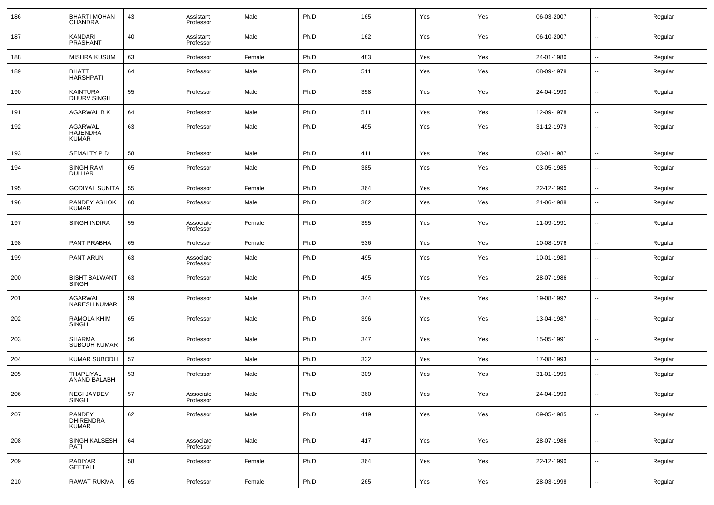| 186 | <b>BHARTI MOHAN</b><br><b>CHANDRA</b> | 43 | Assistant<br>Professor | Male   | Ph.D | 165 | Yes | Yes | 06-03-2007 | --                       | Regular |
|-----|---------------------------------------|----|------------------------|--------|------|-----|-----|-----|------------|--------------------------|---------|
| 187 | KANDARI<br>PRASHANT                   | 40 | Assistant<br>Professor | Male   | Ph.D | 162 | Yes | Yes | 06-10-2007 | --                       | Regular |
| 188 | <b>MISHRA KUSUM</b>                   | 63 | Professor              | Female | Ph.D | 483 | Yes | Yes | 24-01-1980 | $\overline{\phantom{a}}$ | Regular |
| 189 | BHATT<br><b>HARSHPATI</b>             | 64 | Professor              | Male   | Ph.D | 511 | Yes | Yes | 08-09-1978 | $\overline{\phantom{a}}$ | Regular |
| 190 | KAINTURA<br>DHURV SINGH               | 55 | Professor              | Male   | Ph.D | 358 | Yes | Yes | 24-04-1990 | --                       | Regular |
| 191 | AGARWAL B K                           | 64 | Professor              | Male   | Ph.D | 511 | Yes | Yes | 12-09-1978 | $\overline{\phantom{a}}$ | Regular |
| 192 | AGARWAL<br>RAJENDRA<br>KUMAR          | 63 | Professor              | Male   | Ph.D | 495 | Yes | Yes | 31-12-1979 | --                       | Regular |
| 193 | SEMALTY P D                           | 58 | Professor              | Male   | Ph.D | 411 | Yes | Yes | 03-01-1987 | $\overline{\phantom{a}}$ | Regular |
| 194 | SINGH RAM<br><b>DULHAR</b>            | 65 | Professor              | Male   | Ph.D | 385 | Yes | Yes | 03-05-1985 | --                       | Regular |
| 195 | <b>GODIYAL SUNITA</b>                 | 55 | Professor              | Female | Ph.D | 364 | Yes | Yes | 22-12-1990 | $\overline{\phantom{a}}$ | Regular |
| 196 | PANDEY ASHOK<br><b>KUMAR</b>          | 60 | Professor              | Male   | Ph.D | 382 | Yes | Yes | 21-06-1988 | --                       | Regular |
| 197 | SINGH INDIRA                          | 55 | Associate<br>Professor | Female | Ph.D | 355 | Yes | Yes | 11-09-1991 | --                       | Regular |
| 198 | PANT PRABHA                           | 65 | Professor              | Female | Ph.D | 536 | Yes | Yes | 10-08-1976 | $\overline{\phantom{a}}$ | Regular |
| 199 | PANT ARUN                             | 63 | Associate<br>Professor | Male   | Ph.D | 495 | Yes | Yes | 10-01-1980 | $\overline{\phantom{a}}$ | Regular |
| 200 | <b>BISHT BALWANT</b><br>SINGH         | 63 | Professor              | Male   | Ph.D | 495 | Yes | Yes | 28-07-1986 | $\overline{\phantom{a}}$ | Regular |
| 201 | AGARWAL<br><b>NARESH KUMAR</b>        | 59 | Professor              | Male   | Ph.D | 344 | Yes | Yes | 19-08-1992 | --                       | Regular |
| 202 | RAMOLA KHIM<br>SINGH                  | 65 | Professor              | Male   | Ph.D | 396 | Yes | Yes | 13-04-1987 | $\overline{\phantom{a}}$ | Regular |
| 203 | SHARMA<br><b>SUBODH KUMAR</b>         | 56 | Professor              | Male   | Ph.D | 347 | Yes | Yes | 15-05-1991 | $\overline{\phantom{a}}$ | Regular |
| 204 | <b>KUMAR SUBODH</b>                   | 57 | Professor              | Male   | Ph.D | 332 | Yes | Yes | 17-08-1993 | --                       | Regular |
| 205 | THAPLIYAL<br>ANAND BALABH             | 53 | Professor              | Male   | Ph.D | 309 | Yes | Yes | 31-01-1995 |                          | Regular |
| 206 | NEGI JAYDEV<br>SINGH                  | 57 | Associate<br>Professor | Male   | Ph.D | 360 | Yes | Yes | 24-04-1990 | $\overline{\phantom{a}}$ | Regular |
| 207 | PANDEY<br>DHIRENDRA<br><b>KUMAR</b>   | 62 | Professor              | Male   | Ph.D | 419 | Yes | Yes | 09-05-1985 | Щ,                       | Regular |
| 208 | SINGH KALSESH<br>PATI                 | 64 | Associate<br>Professor | Male   | Ph.D | 417 | Yes | Yes | 28-07-1986 | Щ,                       | Regular |
| 209 | PADIYAR<br><b>GEETALI</b>             | 58 | Professor              | Female | Ph.D | 364 | Yes | Yes | 22-12-1990 | $\overline{\phantom{a}}$ | Regular |
| 210 | <b>RAWAT RUKMA</b>                    | 65 | Professor              | Female | Ph.D | 265 | Yes | Yes | 28-03-1998 | н.                       | Regular |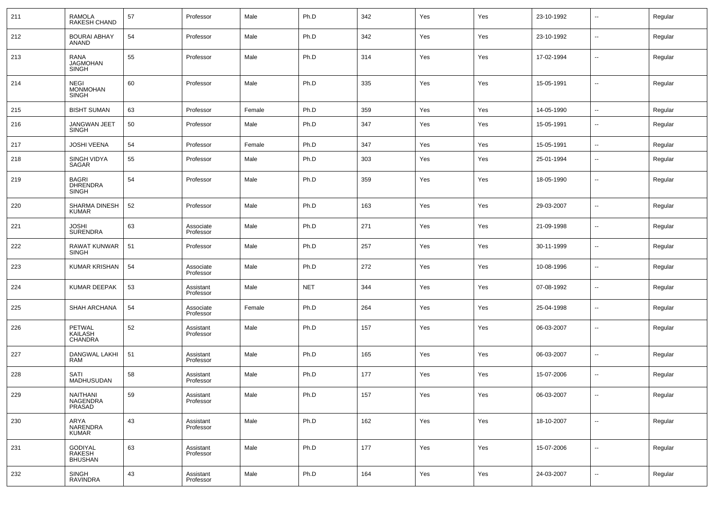| 211 | RAMOLA<br>RAKESH CHAND                          | 57 | Professor              | Male   | Ph.D       | 342 | Yes | Yes | 23-10-1992 | $\sim$                   | Regular |
|-----|-------------------------------------------------|----|------------------------|--------|------------|-----|-----|-----|------------|--------------------------|---------|
| 212 | <b>BOURAI ABHAY</b><br>ANAND                    | 54 | Professor              | Male   | Ph.D       | 342 | Yes | Yes | 23-10-1992 | $\sim$                   | Regular |
| 213 | <b>RANA</b><br>JAGMOHAN<br><b>SINGH</b>         | 55 | Professor              | Male   | Ph.D       | 314 | Yes | Yes | 17-02-1994 | $\sim$                   | Regular |
| 214 | <b>NEGI</b><br><b>MONMOHAN</b><br><b>SINGH</b>  | 60 | Professor              | Male   | Ph.D       | 335 | Yes | Yes | 15-05-1991 | ш.                       | Regular |
| 215 | <b>BISHT SUMAN</b>                              | 63 | Professor              | Female | Ph.D       | 359 | Yes | Yes | 14-05-1990 | ш.                       | Regular |
| 216 | <b>JANGWAN JEET</b><br><b>SINGH</b>             | 50 | Professor              | Male   | Ph.D       | 347 | Yes | Yes | 15-05-1991 | $\overline{\phantom{a}}$ | Regular |
| 217 | <b>JOSHI VEENA</b>                              | 54 | Professor              | Female | Ph.D       | 347 | Yes | Yes | 15-05-1991 | $\overline{\phantom{a}}$ | Regular |
| 218 | SINGH VIDYA<br>SAGAR                            | 55 | Professor              | Male   | Ph.D       | 303 | Yes | Yes | 25-01-1994 | $\sim$                   | Regular |
| 219 | <b>BAGRI</b><br><b>DHRENDRA</b><br><b>SINGH</b> | 54 | Professor              | Male   | Ph.D       | 359 | Yes | Yes | 18-05-1990 | $\sim$                   | Regular |
| 220 | SHARMA DINESH<br><b>KUMAR</b>                   | 52 | Professor              | Male   | Ph.D       | 163 | Yes | Yes | 29-03-2007 | $\overline{\phantom{a}}$ | Regular |
| 221 | <b>JOSHI</b><br><b>SURENDRA</b>                 | 63 | Associate<br>Professor | Male   | Ph.D       | 271 | Yes | Yes | 21-09-1998 | $\overline{\phantom{a}}$ | Regular |
| 222 | RAWAT KUNWAR<br><b>SINGH</b>                    | 51 | Professor              | Male   | Ph.D       | 257 | Yes | Yes | 30-11-1999 | $\overline{\phantom{a}}$ | Regular |
| 223 | KUMAR KRISHAN                                   | 54 | Associate<br>Professor | Male   | Ph.D       | 272 | Yes | Yes | 10-08-1996 | $\overline{\phantom{a}}$ | Regular |
| 224 | KUMAR DEEPAK                                    | 53 | Assistant<br>Professor | Male   | <b>NET</b> | 344 | Yes | Yes | 07-08-1992 | $\overline{\phantom{a}}$ | Regular |
| 225 | SHAH ARCHANA                                    | 54 | Associate<br>Professor | Female | Ph.D       | 264 | Yes | Yes | 25-04-1998 | $\overline{\phantom{a}}$ | Regular |
| 226 | PETWAL<br>KAILASH<br>CHANDRA                    | 52 | Assistant<br>Professor | Male   | Ph.D       | 157 | Yes | Yes | 06-03-2007 | $\overline{\phantom{a}}$ | Regular |
| 227 | DANGWAL LAKHI<br>RAM                            | 51 | Assistant<br>Professor | Male   | Ph.D       | 165 | Yes | Yes | 06-03-2007 | --                       | Regular |
| 228 | <b>SATI</b><br>MADHUSUDAN                       | 58 | Assistant<br>Professor | Male   | Ph.D       | 177 | Yes | Yes | 15-07-2006 | $\overline{\phantom{a}}$ | Regular |
| 229 | NAITHANI<br>NAGENDRA<br>PRASAD                  | 59 | Assistant<br>Professor | Male   | Ph.D       | 157 | Yes | Yes | 06-03-2007 | $\sim$                   | Regular |
| 230 | ARYA<br>NARENDRA<br>KUMAR                       | 43 | Assistant<br>Professor | Male   | Ph.D       | 162 | Yes | Yes | 18-10-2007 | $\sim$                   | Regular |
| 231 | GODIYAL<br>RAKESH<br><b>BHUSHAN</b>             | 63 | Assistant<br>Professor | Male   | Ph.D       | 177 | Yes | Yes | 15-07-2006 | $\overline{\phantom{a}}$ | Regular |
| 232 | SINGH<br>RAVINDRA                               | 43 | Assistant<br>Professor | Male   | Ph.D       | 164 | Yes | Yes | 24-03-2007 | $\sim$                   | Regular |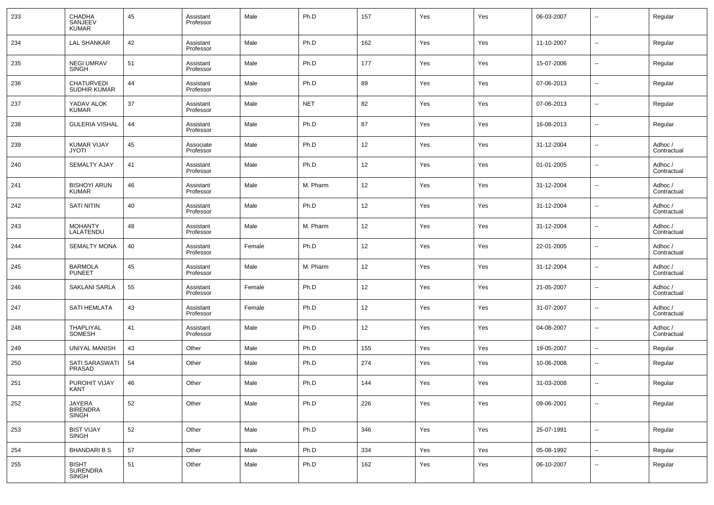| 233 | CHADHA<br>SANJEEV<br><b>KUMAR</b>   | 45 | Assistant<br>Professor | Male   | Ph.D       | 157 | Yes | Yes | 06-03-2007 | $\overline{\phantom{a}}$ | Regular                |
|-----|-------------------------------------|----|------------------------|--------|------------|-----|-----|-----|------------|--------------------------|------------------------|
| 234 | <b>LAL SHANKAR</b>                  | 42 | Assistant<br>Professor | Male   | Ph.D       | 162 | Yes | Yes | 11-10-2007 | $\overline{\phantom{a}}$ | Regular                |
| 235 | <b>NEGI UMRAV</b><br><b>SINGH</b>   | 51 | Assistant<br>Professor | Male   | Ph.D       | 177 | Yes | Yes | 15-07-2006 | $\overline{\phantom{a}}$ | Regular                |
| 236 | <b>CHATURVEDI</b><br>SUDHIR KUMAR   | 44 | Assistant<br>Professor | Male   | Ph.D       | 89  | Yes | Yes | 07-06-2013 | $\overline{\phantom{a}}$ | Regular                |
| 237 | YADAV ALOK<br><b>KUMAR</b>          | 37 | Assistant<br>Professor | Male   | <b>NET</b> | 82  | Yes | Yes | 07-06-2013 | $\overline{\phantom{a}}$ | Regular                |
| 238 | <b>GULERIA VISHAL</b>               | 44 | Assistant<br>Professor | Male   | Ph.D       | 87  | Yes | Yes | 16-08-2013 | $\overline{\phantom{a}}$ | Regular                |
| 239 | <b>KUMAR VIJAY</b><br>JYOTI         | 45 | Associate<br>Professor | Male   | Ph.D       | 12  | Yes | Yes | 31-12-2004 | $\overline{\phantom{a}}$ | Adhoc /<br>Contractual |
| 240 | <b>SEMALTY AJAY</b>                 | 41 | Assistant<br>Professor | Male   | Ph.D       | 12  | Yes | Yes | 01-01-2005 | $\overline{\phantom{a}}$ | Adhoc /<br>Contractual |
| 241 | <b>BISHOYI ARUN</b><br><b>KUMAR</b> | 46 | Assistant<br>Professor | Male   | M. Pharm   | 12  | Yes | Yes | 31-12-2004 | $\overline{\phantom{a}}$ | Adhoc /<br>Contractual |
| 242 | <b>SATI NITIN</b>                   | 40 | Assistant<br>Professor | Male   | Ph.D       | 12  | Yes | Yes | 31-12-2004 | $\overline{\phantom{a}}$ | Adhoc /<br>Contractual |
| 243 | <b>MOHANTY</b><br>LALATENDU         | 48 | Assistant<br>Professor | Male   | M. Pharm   | 12  | Yes | Yes | 31-12-2004 | $\overline{\phantom{a}}$ | Adhoc /<br>Contractual |
| 244 | <b>SEMALTY MONA</b>                 | 40 | Assistant<br>Professor | Female | Ph.D       | 12  | Yes | Yes | 22-01-2005 | $\overline{\phantom{a}}$ | Adhoc /<br>Contractual |
| 245 | <b>BARMOLA</b><br><b>PUNEET</b>     | 45 | Assistant<br>Professor | Male   | M. Pharm   | 12  | Yes | Yes | 31-12-2004 | --                       | Adhoc /<br>Contractual |
| 246 | <b>SAKLANI SARLA</b>                | 55 | Assistant<br>Professor | Female | Ph.D       | 12  | Yes | Yes | 21-05-2007 | $\overline{\phantom{a}}$ | Adhoc /<br>Contractual |
| 247 | <b>SATI HEMLATA</b>                 | 43 | Assistant<br>Professor | Female | Ph.D       | 12  | Yes | Yes | 31-07-2007 | $\overline{\phantom{a}}$ | Adhoc /<br>Contractual |
| 248 | THAPLIYAL<br>SOMESH                 | 41 | Assistant<br>Professor | Male   | Ph.D       | 12  | Yes | Yes | 04-08-2007 | --                       | Adhoc /<br>Contractual |
| 249 | <b>UNIYAL MANISH</b>                | 43 | Other                  | Male   | Ph.D       | 155 | Yes | Yes | 19-05-2007 | $\overline{\phantom{a}}$ | Regular                |
| 250 | SATI SARASWATI<br><b>PRASAD</b>     | 54 | Other                  | Male   | Ph.D       | 274 | Yes | Yes | 10-06-2008 | $\overline{\phantom{a}}$ | Regular                |
| 251 | PUROHIT VIJAY<br>KANT               | 46 | Other                  | Male   | Ph.D       | 144 | Yes | Yes | 31-03-2008 | $\overline{\phantom{a}}$ | Regular                |
| 252 | JAYERA<br>BIRENDRA<br>SINGH         | 52 | Other                  | Male   | Ph.D       | 226 | Yes | Yes | 09-06-2001 | ۰.                       | Regular                |
| 253 | BIST VIJAY<br>SINGH                 | 52 | Other                  | Male   | Ph.D       | 346 | Yes | Yes | 25-07-1991 | $\overline{\phantom{a}}$ | Regular                |
| 254 | <b>BHANDARI B S</b>                 | 57 | Other                  | Male   | Ph.D       | 334 | Yes | Yes | 05-08-1992 | $\overline{\phantom{a}}$ | Regular                |
| 255 | <b>BISHT</b><br>SURENDRA<br>SINGH   | 51 | Other                  | Male   | Ph.D       | 162 | Yes | Yes | 06-10-2007 | ۰.                       | Regular                |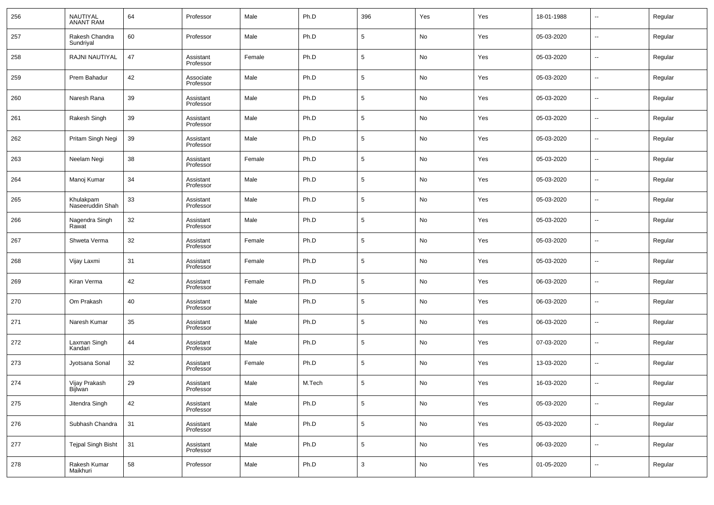| 256 | NAUTIYAL<br>ANANT RAM         | 64 | Professor              | Male   | Ph.D   | 396             | Yes           | Yes | 18-01-1988 | $\overline{\phantom{a}}$ | Regular |
|-----|-------------------------------|----|------------------------|--------|--------|-----------------|---------------|-----|------------|--------------------------|---------|
| 257 | Rakesh Chandra<br>Sundriyal   | 60 | Professor              | Male   | Ph.D   | 5               | No            | Yes | 05-03-2020 | $\overline{\phantom{a}}$ | Regular |
| 258 | RAJNI NAUTIYAL                | 47 | Assistant<br>Professor | Female | Ph.D   | 5               | No            | Yes | 05-03-2020 | $\overline{\phantom{a}}$ | Regular |
| 259 | Prem Bahadur                  | 42 | Associate<br>Professor | Male   | Ph.D   | 5               | No            | Yes | 05-03-2020 | $\overline{\phantom{a}}$ | Regular |
| 260 | Naresh Rana                   | 39 | Assistant<br>Professor | Male   | Ph.D   | 5               | No            | Yes | 05-03-2020 | $\overline{\phantom{a}}$ | Regular |
| 261 | Rakesh Singh                  | 39 | Assistant<br>Professor | Male   | Ph.D   | 5               | No            | Yes | 05-03-2020 | $\overline{\phantom{a}}$ | Regular |
| 262 | Pritam Singh Negi             | 39 | Assistant<br>Professor | Male   | Ph.D   | 5               | No            | Yes | 05-03-2020 | $\overline{\phantom{a}}$ | Regular |
| 263 | Neelam Negi                   | 38 | Assistant<br>Professor | Female | Ph.D   | 5               | No            | Yes | 05-03-2020 | $\overline{\phantom{a}}$ | Regular |
| 264 | Manoj Kumar                   | 34 | Assistant<br>Professor | Male   | Ph.D   | 5               | No            | Yes | 05-03-2020 | $\overline{\phantom{a}}$ | Regular |
| 265 | Khulakpam<br>Naseeruddin Shah | 33 | Assistant<br>Professor | Male   | Ph.D   | 5               | No            | Yes | 05-03-2020 | $\overline{\phantom{a}}$ | Regular |
| 266 | Nagendra Singh<br>Rawat       | 32 | Assistant<br>Professor | Male   | Ph.D   | 5               | No            | Yes | 05-03-2020 | $\overline{\phantom{a}}$ | Regular |
| 267 | Shweta Verma                  | 32 | Assistant<br>Professor | Female | Ph.D   | 5               | No            | Yes | 05-03-2020 | $\overline{\phantom{a}}$ | Regular |
| 268 | Vijay Laxmi                   | 31 | Assistant<br>Professor | Female | Ph.D   | 5               | No            | Yes | 05-03-2020 | $\overline{\phantom{a}}$ | Regular |
| 269 | Kiran Verma                   | 42 | Assistant<br>Professor | Female | Ph.D   | 5               | No            | Yes | 06-03-2020 | $\overline{\phantom{a}}$ | Regular |
| 270 | Om Prakash                    | 40 | Assistant<br>Professor | Male   | Ph.D   | 5               | No            | Yes | 06-03-2020 | $\overline{\phantom{a}}$ | Regular |
| 271 | Naresh Kumar                  | 35 | Assistant<br>Professor | Male   | Ph.D   | 5               | No            | Yes | 06-03-2020 | $\overline{\phantom{a}}$ | Regular |
| 272 | Laxman Singh<br>Kandari       | 44 | Assistant<br>Professor | Male   | Ph.D   | 5               | No            | Yes | 07-03-2020 | $\overline{\phantom{a}}$ | Regular |
| 273 | Jyotsana Sonal                | 32 | Assistant<br>Professor | Female | Ph.D   | 5               | No            | Yes | 13-03-2020 | $\overline{\phantom{a}}$ | Regular |
| 274 | Vijay Prakash<br>Bijlwan      | 29 | Assistant<br>Professor | Male   | M.Tech | 5               | No            | Yes | 16-03-2020 | $\overline{\phantom{a}}$ | Regular |
| 275 | Jitendra Singh                | 42 | Assistant<br>Professor | Male   | Ph.D   | $5\phantom{.0}$ | No            | Yes | 05-03-2020 | $\sim$                   | Regular |
| 276 | Subhash Chandra               | 31 | Assistant<br>Professor | Male   | Ph.D   | $\sqrt{5}$      | $\mathsf{No}$ | Yes | 05-03-2020 | $\overline{\phantom{a}}$ | Regular |
| 277 | <b>Tejpal Singh Bisht</b>     | 31 | Assistant<br>Professor | Male   | Ph.D   | $\overline{5}$  | $\mathsf{No}$ | Yes | 06-03-2020 | $\overline{\phantom{a}}$ | Regular |
| 278 | Rakesh Kumar<br>Maikhuri      | 58 | Professor              | Male   | Ph.D   | $\mathbf{3}$    | $\mathsf{No}$ | Yes | 01-05-2020 | $\overline{\phantom{a}}$ | Regular |